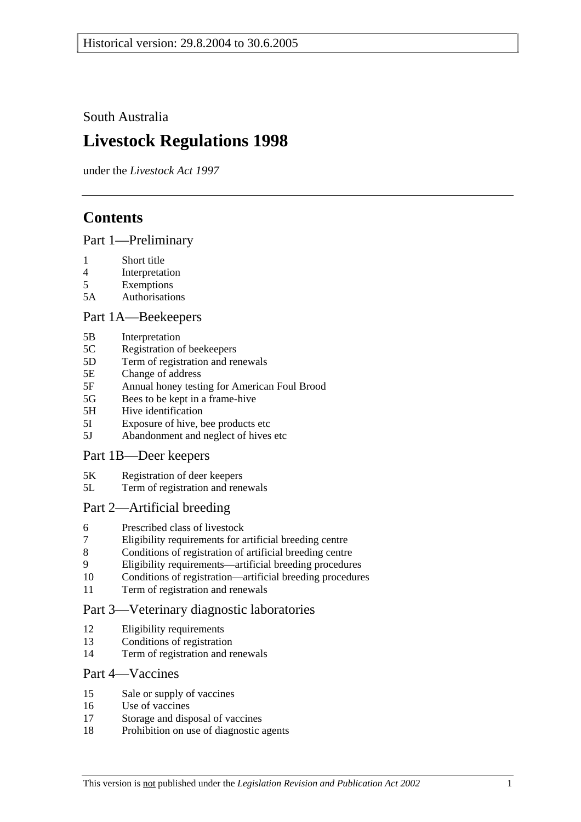South Australia

# **Livestock Regulations 1998**

under the *Livestock Act 1997*

# **Contents**

# Part 1—Preliminary

- 1 Short title
- 4 Interpretation
- 5 Exemptions
- 5A Authorisations

# Part 1A—Beekeepers

- 5B Interpretation
- 5C Registration of beekeepers
- 5D Term of registration and renewals
- 5E Change of address
- 5F Annual honey testing for American Foul Brood
- 5G Bees to be kept in a frame-hive
- 5H Hive identification
- 5I Exposure of hive, bee products etc
- 5J Abandonment and neglect of hives etc

## Part 1B—Deer keepers

- 5K Registration of deer keepers
- 5L Term of registration and renewals

# Part 2—Artificial breeding

- 6 Prescribed class of livestock
- 7 Eligibility requirements for artificial breeding centre
- 8 Conditions of registration of artificial breeding centre
- 9 Eligibility requirements—artificial breeding procedures
- 10 Conditions of registration—artificial breeding procedures
- 11 Term of registration and renewals

# Part 3—Veterinary diagnostic laboratories

- 12 Eligibility requirements
- 13 Conditions of registration
- 14 Term of registration and renewals

## Part 4—Vaccines

- 15 Sale or supply of vaccines
- 16 Use of vaccines
- 17 Storage and disposal of vaccines
- 18 Prohibition on use of diagnostic agents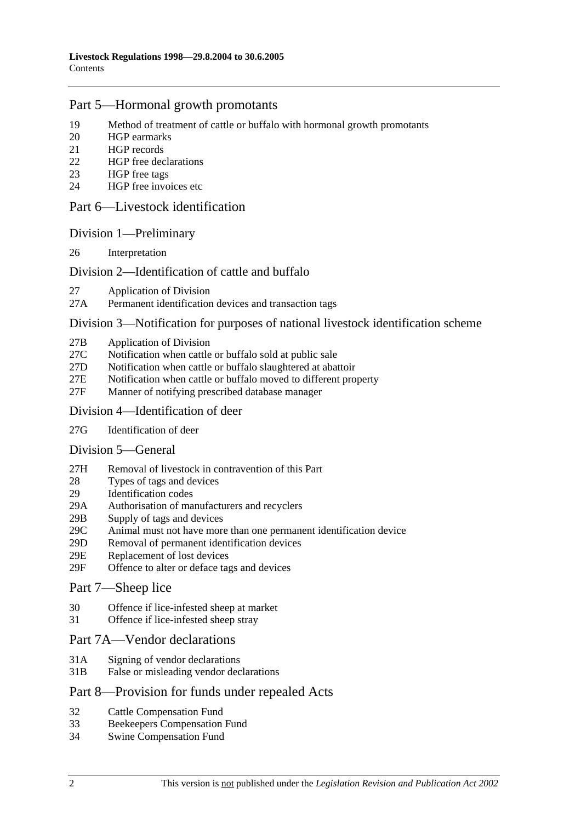# Part 5—Hormonal growth promotants

- 19 Method of treatment of cattle or buffalo with hormonal growth promotants
- 20 HGP earmarks
- 21 HGP records
- 22 HGP free declarations
- 23 HGP free tags
- 24 HGP free invoices etc

## Part 6—Livestock identification

## Division 1—Preliminary

26 Interpretation

## Division 2—Identification of cattle and buffalo

- 27 Application of Division
- 27A Permanent identification devices and transaction tags

## Division 3—Notification for purposes of national livestock identification scheme

- 27B Application of Division
- 27C Notification when cattle or buffalo sold at public sale
- 27D Notification when cattle or buffalo slaughtered at abattoir
- 27E Notification when cattle or buffalo moved to different property
- 27F Manner of notifying prescribed database manager

### Division 4—Identification of deer

27G Identification of deer

## Division 5—General

- 27H Removal of livestock in contravention of this Part
- 28 Types of tags and devices
- 29 Identification codes
- 29A Authorisation of manufacturers and recyclers
- 29B Supply of tags and devices
- 29C Animal must not have more than one permanent identification device
- 29D Removal of permanent identification devices
- 29E Replacement of lost devices
- 29F Offence to alter or deface tags and devices

### Part 7—Sheep lice

- 30 Offence if lice-infested sheep at market
- 31 Offence if lice-infested sheep stray

## Part 7A—Vendor declarations

- 31A Signing of vendor declarations
- 31B False or misleading vendor declarations

## Part 8—Provision for funds under repealed Acts

- 32 Cattle Compensation Fund
- 33 Beekeepers Compensation Fund
- 34 Swine Compensation Fund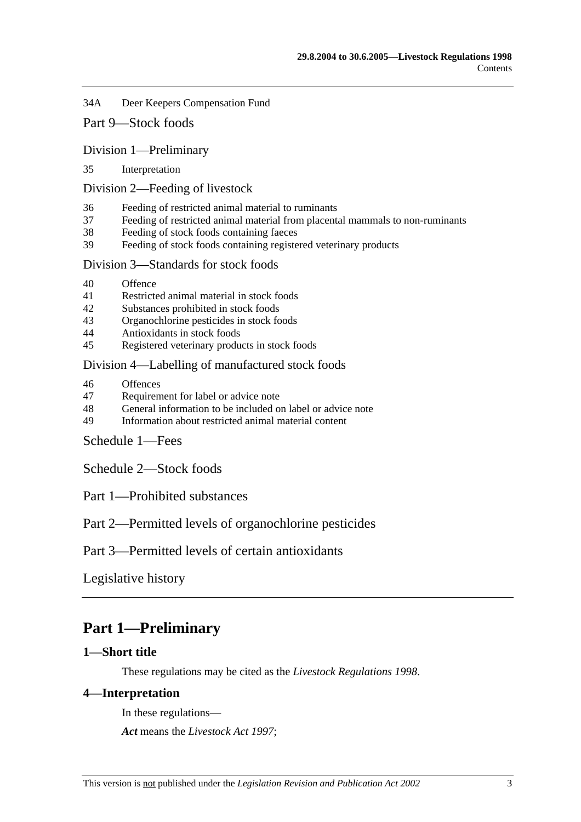34A Deer Keepers Compensation Fund

# Part 9—Stock foods

### Division 1—Preliminary

35 Interpretation

#### Division 2—Feeding of livestock

- 36 Feeding of restricted animal material to ruminants
- 37 Feeding of restricted animal material from placental mammals to non-ruminants
- 38 Feeding of stock foods containing faeces
- 39 Feeding of stock foods containing registered veterinary products

## Division 3—Standards for stock foods

- 40 Offence
- 41 Restricted animal material in stock foods
- 42 Substances prohibited in stock foods
- 43 Organochlorine pesticides in stock foods
- 44 Antioxidants in stock foods
- 45 Registered veterinary products in stock foods

### Division 4—Labelling of manufactured stock foods

- 46 Offences
- 47 Requirement for label or advice note
- 48 General information to be included on label or advice note
- 49 Information about restricted animal material content

## Schedule 1—Fees

Schedule 2—Stock foods

Part 1—Prohibited substances

# Part 2—Permitted levels of organochlorine pesticides

Part 3—Permitted levels of certain antioxidants

Legislative history

# **Part 1—Preliminary**

## **1—Short title**

These regulations may be cited as the *Livestock Regulations 1998*.

### **4—Interpretation**

In these regulations—

*Act* means the *Livestock Act 1997*;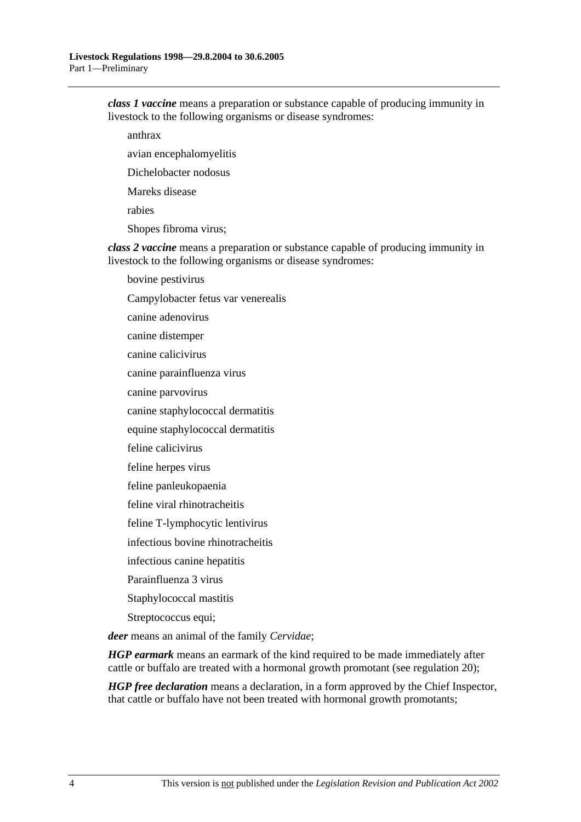*class 1 vaccine* means a preparation or substance capable of producing immunity in livestock to the following organisms or disease syndromes:

anthrax

avian encephalomyelitis

Dichelobacter nodosus

Mareks disease

rabies

Shopes fibroma virus;

*class 2 vaccine* means a preparation or substance capable of producing immunity in livestock to the following organisms or disease syndromes:

bovine pestivirus

Campylobacter fetus var venerealis

canine adenovirus

canine distemper

canine calicivirus

canine parainfluenza virus

canine parvovirus

canine staphylococcal dermatitis

equine staphylococcal dermatitis

feline calicivirus

feline herpes virus

feline panleukopaenia

feline viral rhinotracheitis

feline T-lymphocytic lentivirus

infectious bovine rhinotracheitis

infectious canine hepatitis

Parainfluenza 3 virus

Staphylococcal mastitis

Streptococcus equi;

*deer* means an animal of the family *Cervidae*;

*HGP earmark* means an earmark of the kind required to be made immediately after cattle or buffalo are treated with a hormonal growth promotant (see regulation 20);

*HGP free declaration* means a declaration, in a form approved by the Chief Inspector, that cattle or buffalo have not been treated with hormonal growth promotants;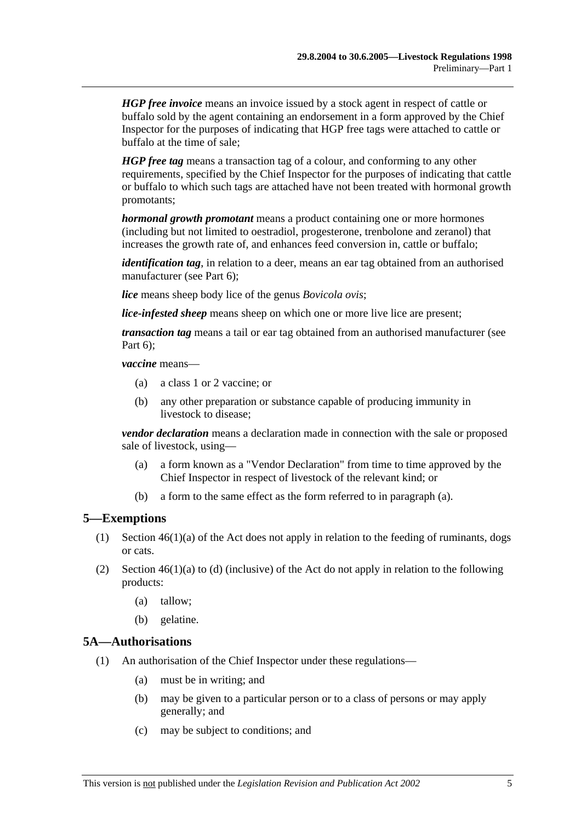*HGP free invoice* means an invoice issued by a stock agent in respect of cattle or buffalo sold by the agent containing an endorsement in a form approved by the Chief Inspector for the purposes of indicating that HGP free tags were attached to cattle or buffalo at the time of sale;

*HGP free tag* means a transaction tag of a colour, and conforming to any other requirements, specified by the Chief Inspector for the purposes of indicating that cattle or buffalo to which such tags are attached have not been treated with hormonal growth promotants;

*hormonal growth promotant* means a product containing one or more hormones (including but not limited to oestradiol, progesterone, trenbolone and zeranol) that increases the growth rate of, and enhances feed conversion in, cattle or buffalo;

*identification tag*, in relation to a deer, means an ear tag obtained from an authorised manufacturer (see Part 6);

*lice* means sheep body lice of the genus *Bovicola ovis*;

*lice-infested sheep* means sheep on which one or more live lice are present;

*transaction tag* means a tail or ear tag obtained from an authorised manufacturer (see Part 6);

*vaccine* means—

- (a) a class 1 or 2 vaccine; or
- (b) any other preparation or substance capable of producing immunity in livestock to disease;

*vendor declaration* means a declaration made in connection with the sale or proposed sale of livestock, using—

- (a) a form known as a "Vendor Declaration" from time to time approved by the Chief Inspector in respect of livestock of the relevant kind; or
- (b) a form to the same effect as the form referred to in paragraph (a).

#### **5—Exemptions**

- (1) Section 46(1)(a) of the Act does not apply in relation to the feeding of ruminants, dogs or cats.
- (2) Section  $46(1)(a)$  to (d) (inclusive) of the Act do not apply in relation to the following products:
	- (a) tallow;
	- (b) gelatine.

#### **5A—Authorisations**

- (1) An authorisation of the Chief Inspector under these regulations—
	- (a) must be in writing; and
	- (b) may be given to a particular person or to a class of persons or may apply generally; and
	- (c) may be subject to conditions; and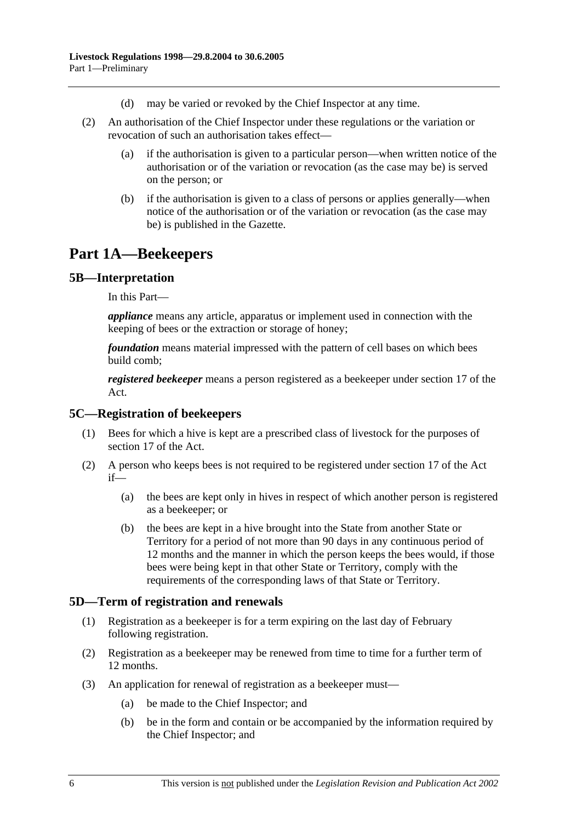- (d) may be varied or revoked by the Chief Inspector at any time.
- (2) An authorisation of the Chief Inspector under these regulations or the variation or revocation of such an authorisation takes effect—
	- (a) if the authorisation is given to a particular person—when written notice of the authorisation or of the variation or revocation (as the case may be) is served on the person; or
	- (b) if the authorisation is given to a class of persons or applies generally—when notice of the authorisation or of the variation or revocation (as the case may be) is published in the Gazette.

# **Part 1A—Beekeepers**

# **5B—Interpretation**

In this Part—

*appliance* means any article, apparatus or implement used in connection with the keeping of bees or the extraction or storage of honey;

*foundation* means material impressed with the pattern of cell bases on which bees build comb;

*registered beekeeper* means a person registered as a beekeeper under section 17 of the Act.

### **5C—Registration of beekeepers**

- (1) Bees for which a hive is kept are a prescribed class of livestock for the purposes of section 17 of the Act.
- (2) A person who keeps bees is not required to be registered under section 17 of the Act if—
	- (a) the bees are kept only in hives in respect of which another person is registered as a beekeeper; or
	- (b) the bees are kept in a hive brought into the State from another State or Territory for a period of not more than 90 days in any continuous period of 12 months and the manner in which the person keeps the bees would, if those bees were being kept in that other State or Territory, comply with the requirements of the corresponding laws of that State or Territory.

## **5D—Term of registration and renewals**

- (1) Registration as a beekeeper is for a term expiring on the last day of February following registration.
- (2) Registration as a beekeeper may be renewed from time to time for a further term of 12 months.
- (3) An application for renewal of registration as a beekeeper must—
	- (a) be made to the Chief Inspector; and
	- (b) be in the form and contain or be accompanied by the information required by the Chief Inspector; and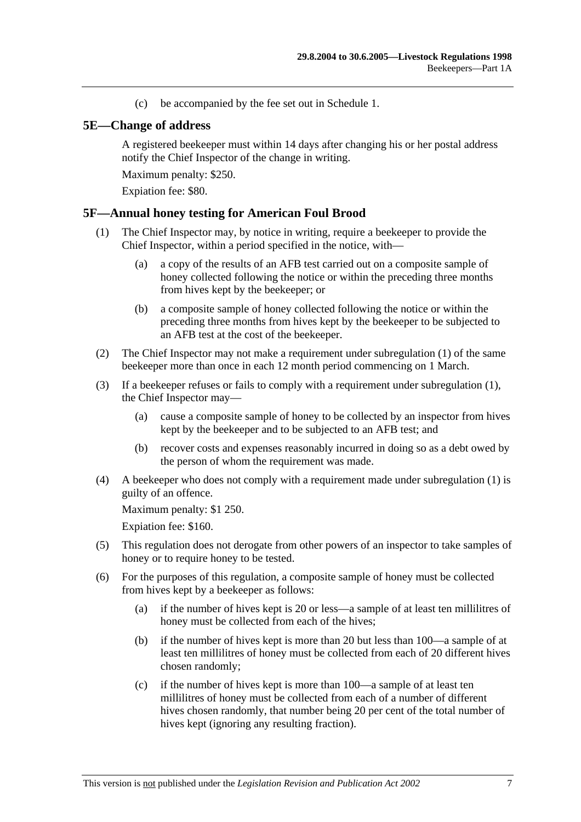(c) be accompanied by the fee set out in Schedule 1.

### **5E—Change of address**

A registered beekeeper must within 14 days after changing his or her postal address notify the Chief Inspector of the change in writing.

Maximum penalty: \$250.

Expiation fee: \$80.

### **5F—Annual honey testing for American Foul Brood**

- (1) The Chief Inspector may, by notice in writing, require a beekeeper to provide the Chief Inspector, within a period specified in the notice, with—
	- (a) a copy of the results of an AFB test carried out on a composite sample of honey collected following the notice or within the preceding three months from hives kept by the beekeeper; or
	- (b) a composite sample of honey collected following the notice or within the preceding three months from hives kept by the beekeeper to be subjected to an AFB test at the cost of the beekeeper.
- (2) The Chief Inspector may not make a requirement under subregulation (1) of the same beekeeper more than once in each 12 month period commencing on 1 March.
- (3) If a beekeeper refuses or fails to comply with a requirement under subregulation (1), the Chief Inspector may—
	- (a) cause a composite sample of honey to be collected by an inspector from hives kept by the beekeeper and to be subjected to an AFB test; and
	- (b) recover costs and expenses reasonably incurred in doing so as a debt owed by the person of whom the requirement was made.
- (4) A beekeeper who does not comply with a requirement made under subregulation (1) is guilty of an offence.

Maximum penalty: \$1 250.

Expiation fee: \$160.

- (5) This regulation does not derogate from other powers of an inspector to take samples of honey or to require honey to be tested.
- (6) For the purposes of this regulation, a composite sample of honey must be collected from hives kept by a beekeeper as follows:
	- (a) if the number of hives kept is 20 or less—a sample of at least ten millilitres of honey must be collected from each of the hives;
	- (b) if the number of hives kept is more than 20 but less than 100—a sample of at least ten millilitres of honey must be collected from each of 20 different hives chosen randomly;
	- (c) if the number of hives kept is more than 100—a sample of at least ten millilitres of honey must be collected from each of a number of different hives chosen randomly, that number being 20 per cent of the total number of hives kept (ignoring any resulting fraction).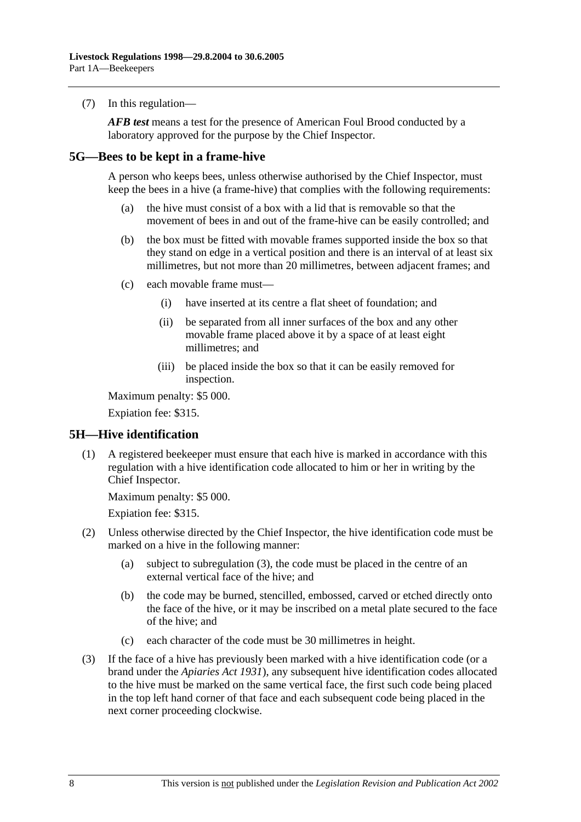(7) In this regulation—

*AFB test* means a test for the presence of American Foul Brood conducted by a laboratory approved for the purpose by the Chief Inspector.

## **5G—Bees to be kept in a frame-hive**

A person who keeps bees, unless otherwise authorised by the Chief Inspector, must keep the bees in a hive (a frame-hive) that complies with the following requirements:

- (a) the hive must consist of a box with a lid that is removable so that the movement of bees in and out of the frame-hive can be easily controlled; and
- (b) the box must be fitted with movable frames supported inside the box so that they stand on edge in a vertical position and there is an interval of at least six millimetres, but not more than 20 millimetres, between adjacent frames; and
- (c) each movable frame must—
	- (i) have inserted at its centre a flat sheet of foundation; and
	- (ii) be separated from all inner surfaces of the box and any other movable frame placed above it by a space of at least eight millimetres; and
	- (iii) be placed inside the box so that it can be easily removed for inspection.

Maximum penalty: \$5 000.

Expiation fee: \$315.

## **5H—Hive identification**

 (1) A registered beekeeper must ensure that each hive is marked in accordance with this regulation with a hive identification code allocated to him or her in writing by the Chief Inspector.

Maximum penalty: \$5 000.

Expiation fee: \$315.

- (2) Unless otherwise directed by the Chief Inspector, the hive identification code must be marked on a hive in the following manner:
	- (a) subject to subregulation (3), the code must be placed in the centre of an external vertical face of the hive; and
	- (b) the code may be burned, stencilled, embossed, carved or etched directly onto the face of the hive, or it may be inscribed on a metal plate secured to the face of the hive; and
	- (c) each character of the code must be 30 millimetres in height.
- (3) If the face of a hive has previously been marked with a hive identification code (or a brand under the *Apiaries Act 1931*), any subsequent hive identification codes allocated to the hive must be marked on the same vertical face, the first such code being placed in the top left hand corner of that face and each subsequent code being placed in the next corner proceeding clockwise.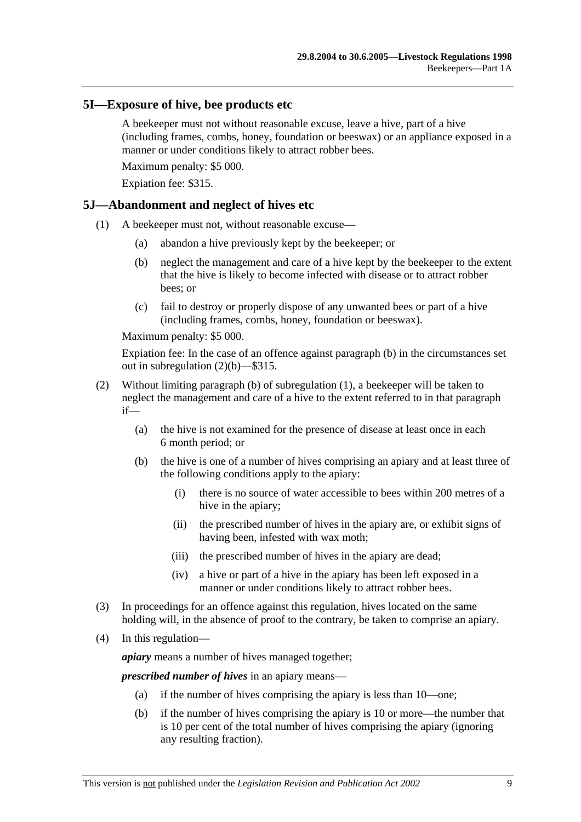### **5I—Exposure of hive, bee products etc**

A beekeeper must not without reasonable excuse, leave a hive, part of a hive (including frames, combs, honey, foundation or beeswax) or an appliance exposed in a manner or under conditions likely to attract robber bees.

Maximum penalty: \$5 000.

Expiation fee: \$315.

## **5J—Abandonment and neglect of hives etc**

- (1) A beekeeper must not, without reasonable excuse—
	- (a) abandon a hive previously kept by the beekeeper; or
	- (b) neglect the management and care of a hive kept by the beekeeper to the extent that the hive is likely to become infected with disease or to attract robber bees; or
	- (c) fail to destroy or properly dispose of any unwanted bees or part of a hive (including frames, combs, honey, foundation or beeswax).

Maximum penalty: \$5 000.

Expiation fee: In the case of an offence against paragraph (b) in the circumstances set out in subregulation (2)(b)—\$315.

- (2) Without limiting paragraph (b) of subregulation (1), a beekeeper will be taken to neglect the management and care of a hive to the extent referred to in that paragraph if—
	- (a) the hive is not examined for the presence of disease at least once in each 6 month period; or
	- (b) the hive is one of a number of hives comprising an apiary and at least three of the following conditions apply to the apiary:
		- (i) there is no source of water accessible to bees within 200 metres of a hive in the apiary;
		- (ii) the prescribed number of hives in the apiary are, or exhibit signs of having been, infested with wax moth;
		- (iii) the prescribed number of hives in the apiary are dead;
		- (iv) a hive or part of a hive in the apiary has been left exposed in a manner or under conditions likely to attract robber bees.
- (3) In proceedings for an offence against this regulation, hives located on the same holding will, in the absence of proof to the contrary, be taken to comprise an apiary.
- (4) In this regulation—

*apiary* means a number of hives managed together;

*prescribed number of hives* in an apiary means—

- (a) if the number of hives comprising the apiary is less than 10—one;
- (b) if the number of hives comprising the apiary is 10 or more—the number that is 10 per cent of the total number of hives comprising the apiary (ignoring any resulting fraction).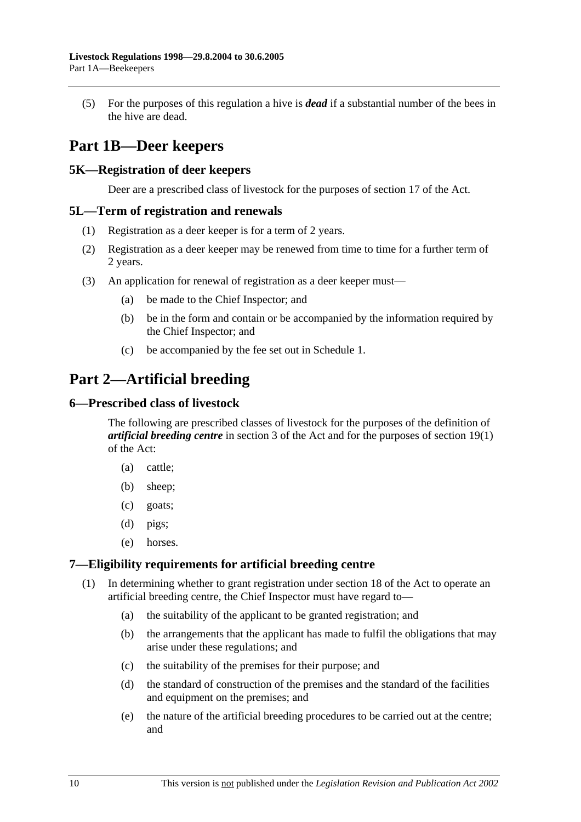(5) For the purposes of this regulation a hive is *dead* if a substantial number of the bees in the hive are dead.

# **Part 1B—Deer keepers**

## **5K—Registration of deer keepers**

Deer are a prescribed class of livestock for the purposes of section 17 of the Act.

## **5L—Term of registration and renewals**

- (1) Registration as a deer keeper is for a term of 2 years.
- (2) Registration as a deer keeper may be renewed from time to time for a further term of 2 years.
- (3) An application for renewal of registration as a deer keeper must—
	- (a) be made to the Chief Inspector; and
	- (b) be in the form and contain or be accompanied by the information required by the Chief Inspector; and
	- (c) be accompanied by the fee set out in Schedule 1.

# **Part 2—Artificial breeding**

## **6—Prescribed class of livestock**

The following are prescribed classes of livestock for the purposes of the definition of *artificial breeding centre* in section 3 of the Act and for the purposes of section 19(1) of the Act:

- (a) cattle;
- (b) sheep;
- (c) goats;
- (d) pigs;
- (e) horses.

## **7—Eligibility requirements for artificial breeding centre**

- (1) In determining whether to grant registration under section 18 of the Act to operate an artificial breeding centre, the Chief Inspector must have regard to—
	- (a) the suitability of the applicant to be granted registration; and
	- (b) the arrangements that the applicant has made to fulfil the obligations that may arise under these regulations; and
	- (c) the suitability of the premises for their purpose; and
	- (d) the standard of construction of the premises and the standard of the facilities and equipment on the premises; and
	- (e) the nature of the artificial breeding procedures to be carried out at the centre; and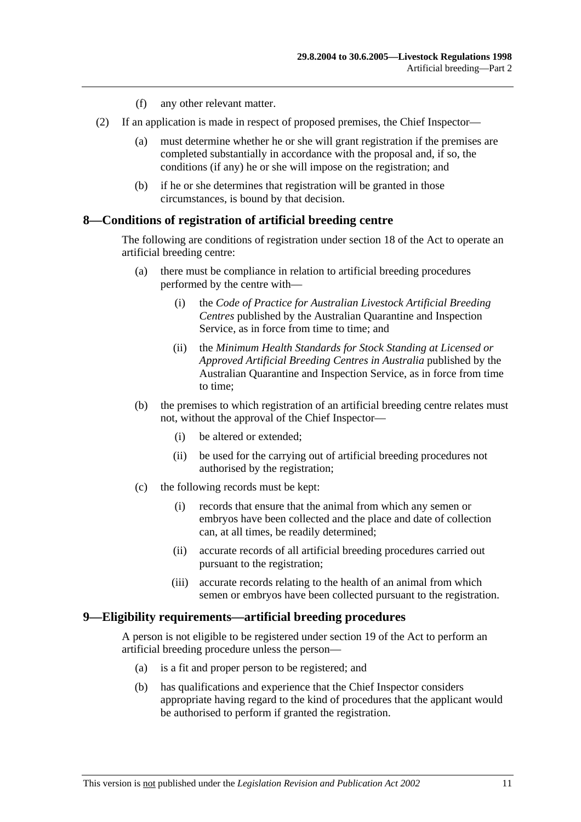- (f) any other relevant matter.
- (2) If an application is made in respect of proposed premises, the Chief Inspector—
	- (a) must determine whether he or she will grant registration if the premises are completed substantially in accordance with the proposal and, if so, the conditions (if any) he or she will impose on the registration; and
	- (b) if he or she determines that registration will be granted in those circumstances, is bound by that decision.

### **8—Conditions of registration of artificial breeding centre**

The following are conditions of registration under section 18 of the Act to operate an artificial breeding centre:

- (a) there must be compliance in relation to artificial breeding procedures performed by the centre with—
	- (i) the *Code of Practice for Australian Livestock Artificial Breeding Centres* published by the Australian Quarantine and Inspection Service, as in force from time to time; and
	- (ii) the *Minimum Health Standards for Stock Standing at Licensed or Approved Artificial Breeding Centres in Australia* published by the Australian Quarantine and Inspection Service, as in force from time to time;
- (b) the premises to which registration of an artificial breeding centre relates must not, without the approval of the Chief Inspector—
	- (i) be altered or extended;
	- (ii) be used for the carrying out of artificial breeding procedures not authorised by the registration;
- (c) the following records must be kept:
	- (i) records that ensure that the animal from which any semen or embryos have been collected and the place and date of collection can, at all times, be readily determined;
	- (ii) accurate records of all artificial breeding procedures carried out pursuant to the registration;
	- (iii) accurate records relating to the health of an animal from which semen or embryos have been collected pursuant to the registration.

### **9—Eligibility requirements—artificial breeding procedures**

A person is not eligible to be registered under section 19 of the Act to perform an artificial breeding procedure unless the person—

- (a) is a fit and proper person to be registered; and
- (b) has qualifications and experience that the Chief Inspector considers appropriate having regard to the kind of procedures that the applicant would be authorised to perform if granted the registration.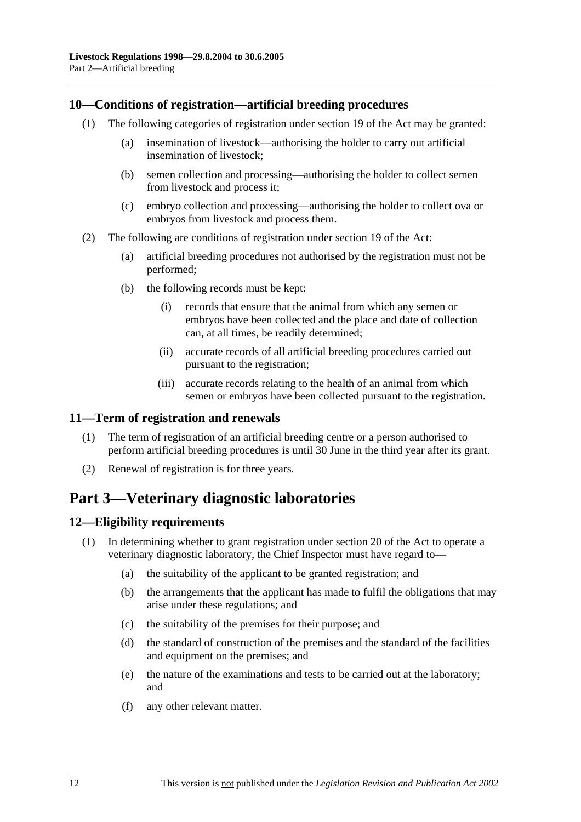## **10—Conditions of registration—artificial breeding procedures**

- (1) The following categories of registration under section 19 of the Act may be granted:
	- (a) insemination of livestock—authorising the holder to carry out artificial insemination of livestock;
	- (b) semen collection and processing—authorising the holder to collect semen from livestock and process it;
	- (c) embryo collection and processing—authorising the holder to collect ova or embryos from livestock and process them.
- (2) The following are conditions of registration under section 19 of the Act:
	- (a) artificial breeding procedures not authorised by the registration must not be performed;
	- (b) the following records must be kept:
		- (i) records that ensure that the animal from which any semen or embryos have been collected and the place and date of collection can, at all times, be readily determined;
		- (ii) accurate records of all artificial breeding procedures carried out pursuant to the registration;
		- (iii) accurate records relating to the health of an animal from which semen or embryos have been collected pursuant to the registration.

## **11—Term of registration and renewals**

- (1) The term of registration of an artificial breeding centre or a person authorised to perform artificial breeding procedures is until 30 June in the third year after its grant.
- (2) Renewal of registration is for three years.

# **Part 3—Veterinary diagnostic laboratories**

## **12—Eligibility requirements**

- (1) In determining whether to grant registration under section 20 of the Act to operate a veterinary diagnostic laboratory, the Chief Inspector must have regard to—
	- (a) the suitability of the applicant to be granted registration; and
	- (b) the arrangements that the applicant has made to fulfil the obligations that may arise under these regulations; and
	- (c) the suitability of the premises for their purpose; and
	- (d) the standard of construction of the premises and the standard of the facilities and equipment on the premises; and
	- (e) the nature of the examinations and tests to be carried out at the laboratory; and
	- (f) any other relevant matter.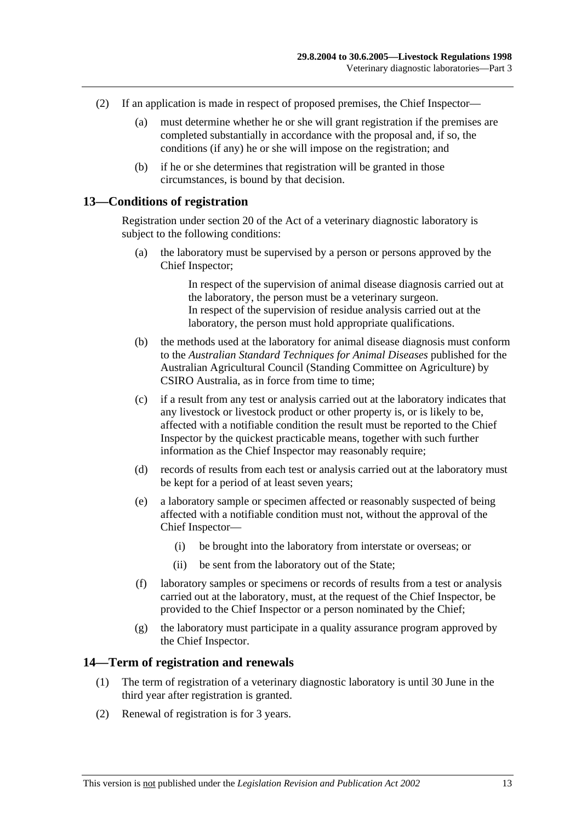- (2) If an application is made in respect of proposed premises, the Chief Inspector—
	- (a) must determine whether he or she will grant registration if the premises are completed substantially in accordance with the proposal and, if so, the conditions (if any) he or she will impose on the registration; and
	- (b) if he or she determines that registration will be granted in those circumstances, is bound by that decision.

#### **13—Conditions of registration**

Registration under section 20 of the Act of a veterinary diagnostic laboratory is subject to the following conditions:

 (a) the laboratory must be supervised by a person or persons approved by the Chief Inspector;

> In respect of the supervision of animal disease diagnosis carried out at the laboratory, the person must be a veterinary surgeon. In respect of the supervision of residue analysis carried out at the laboratory, the person must hold appropriate qualifications.

- (b) the methods used at the laboratory for animal disease diagnosis must conform to the *Australian Standard Techniques for Animal Diseases* published for the Australian Agricultural Council (Standing Committee on Agriculture) by CSIRO Australia, as in force from time to time;
- (c) if a result from any test or analysis carried out at the laboratory indicates that any livestock or livestock product or other property is, or is likely to be, affected with a notifiable condition the result must be reported to the Chief Inspector by the quickest practicable means, together with such further information as the Chief Inspector may reasonably require;
- (d) records of results from each test or analysis carried out at the laboratory must be kept for a period of at least seven years;
- (e) a laboratory sample or specimen affected or reasonably suspected of being affected with a notifiable condition must not, without the approval of the Chief Inspector—
	- (i) be brought into the laboratory from interstate or overseas; or
	- (ii) be sent from the laboratory out of the State;
- (f) laboratory samples or specimens or records of results from a test or analysis carried out at the laboratory, must, at the request of the Chief Inspector, be provided to the Chief Inspector or a person nominated by the Chief;
- (g) the laboratory must participate in a quality assurance program approved by the Chief Inspector.

#### **14—Term of registration and renewals**

- (1) The term of registration of a veterinary diagnostic laboratory is until 30 June in the third year after registration is granted.
- (2) Renewal of registration is for 3 years.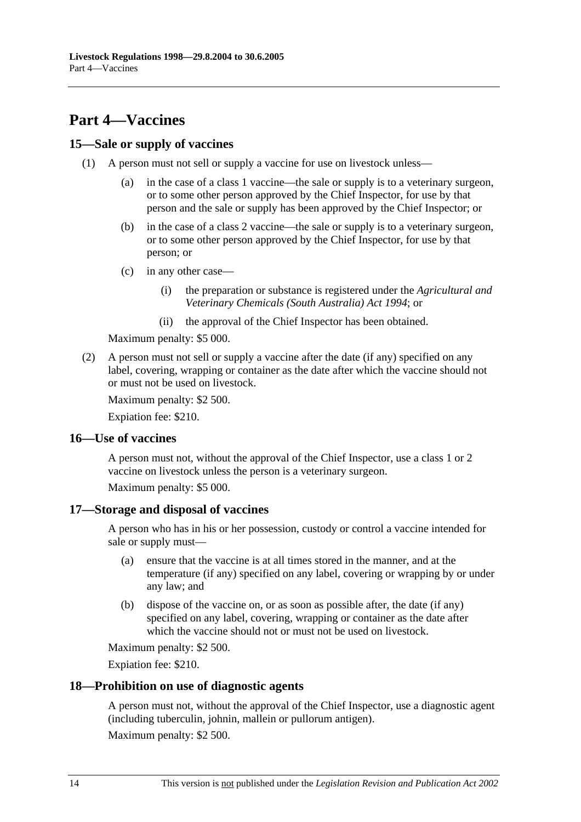# **Part 4—Vaccines**

# **15—Sale or supply of vaccines**

- (1) A person must not sell or supply a vaccine for use on livestock unless—
	- (a) in the case of a class 1 vaccine—the sale or supply is to a veterinary surgeon, or to some other person approved by the Chief Inspector, for use by that person and the sale or supply has been approved by the Chief Inspector; or
	- (b) in the case of a class 2 vaccine—the sale or supply is to a veterinary surgeon, or to some other person approved by the Chief Inspector, for use by that person; or
	- (c) in any other case—
		- (i) the preparation or substance is registered under the *Agricultural and Veterinary Chemicals (South Australia) Act 1994*; or
		- (ii) the approval of the Chief Inspector has been obtained.

Maximum penalty: \$5 000.

 (2) A person must not sell or supply a vaccine after the date (if any) specified on any label, covering, wrapping or container as the date after which the vaccine should not or must not be used on livestock.

Maximum penalty: \$2 500.

Expiation fee: \$210.

## **16—Use of vaccines**

A person must not, without the approval of the Chief Inspector, use a class 1 or 2 vaccine on livestock unless the person is a veterinary surgeon.

Maximum penalty: \$5 000.

## **17—Storage and disposal of vaccines**

A person who has in his or her possession, custody or control a vaccine intended for sale or supply must—

- (a) ensure that the vaccine is at all times stored in the manner, and at the temperature (if any) specified on any label, covering or wrapping by or under any law; and
- (b) dispose of the vaccine on, or as soon as possible after, the date (if any) specified on any label, covering, wrapping or container as the date after which the vaccine should not or must not be used on livestock.

Maximum penalty: \$2 500.

Expiation fee: \$210.

### **18—Prohibition on use of diagnostic agents**

A person must not, without the approval of the Chief Inspector, use a diagnostic agent (including tuberculin, johnin, mallein or pullorum antigen).

Maximum penalty: \$2 500.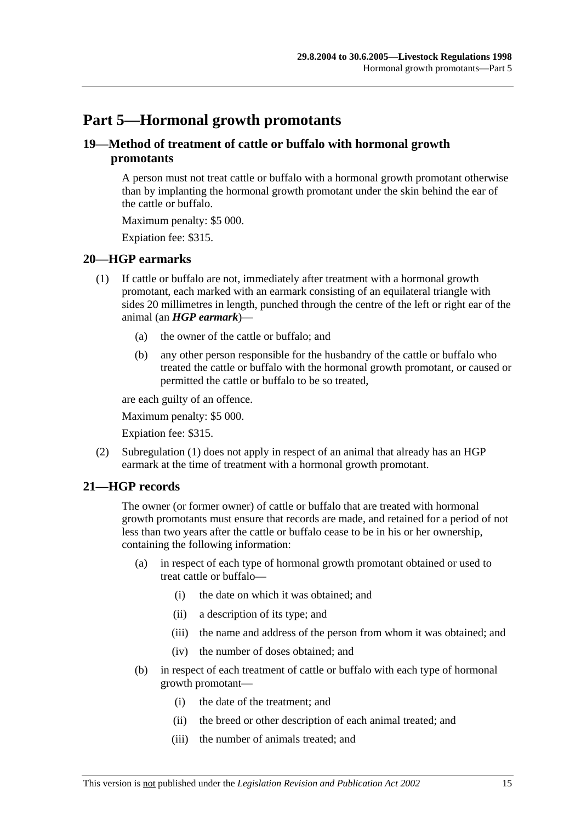# **Part 5—Hormonal growth promotants**

# **19—Method of treatment of cattle or buffalo with hormonal growth promotants**

A person must not treat cattle or buffalo with a hormonal growth promotant otherwise than by implanting the hormonal growth promotant under the skin behind the ear of the cattle or buffalo.

Maximum penalty: \$5 000.

Expiation fee: \$315.

## **20—HGP earmarks**

- (1) If cattle or buffalo are not, immediately after treatment with a hormonal growth promotant, each marked with an earmark consisting of an equilateral triangle with sides 20 millimetres in length, punched through the centre of the left or right ear of the animal (an *HGP earmark*)—
	- (a) the owner of the cattle or buffalo; and
	- (b) any other person responsible for the husbandry of the cattle or buffalo who treated the cattle or buffalo with the hormonal growth promotant, or caused or permitted the cattle or buffalo to be so treated,

are each guilty of an offence.

Maximum penalty: \$5 000.

Expiation fee: \$315.

 (2) Subregulation (1) does not apply in respect of an animal that already has an HGP earmark at the time of treatment with a hormonal growth promotant.

## **21—HGP records**

The owner (or former owner) of cattle or buffalo that are treated with hormonal growth promotants must ensure that records are made, and retained for a period of not less than two years after the cattle or buffalo cease to be in his or her ownership, containing the following information:

- (a) in respect of each type of hormonal growth promotant obtained or used to treat cattle or buffalo—
	- (i) the date on which it was obtained; and
	- (ii) a description of its type; and
	- (iii) the name and address of the person from whom it was obtained; and
	- (iv) the number of doses obtained; and
- (b) in respect of each treatment of cattle or buffalo with each type of hormonal growth promotant—
	- (i) the date of the treatment; and
	- (ii) the breed or other description of each animal treated; and
	- (iii) the number of animals treated; and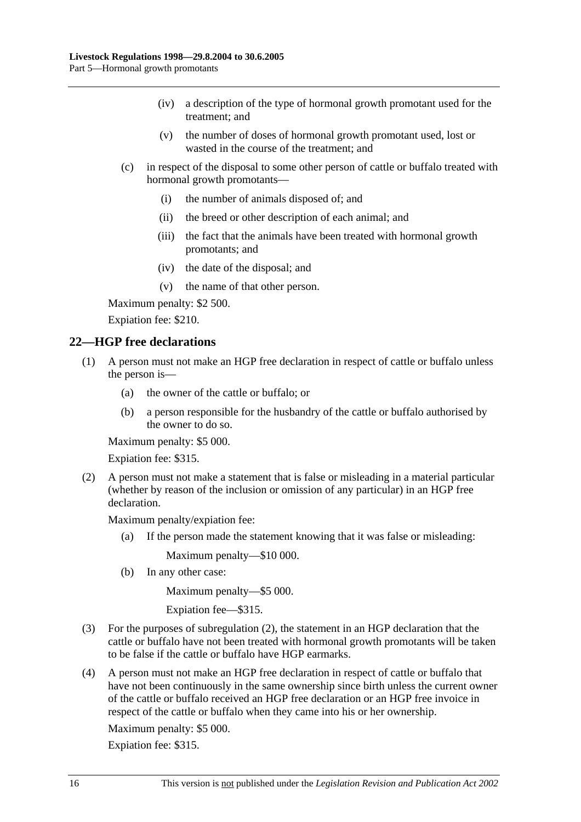- (iv) a description of the type of hormonal growth promotant used for the treatment; and
- (v) the number of doses of hormonal growth promotant used, lost or wasted in the course of the treatment; and
- (c) in respect of the disposal to some other person of cattle or buffalo treated with hormonal growth promotants—
	- (i) the number of animals disposed of; and
	- (ii) the breed or other description of each animal; and
	- (iii) the fact that the animals have been treated with hormonal growth promotants; and
	- (iv) the date of the disposal; and
	- (v) the name of that other person.

Maximum penalty: \$2 500.

Expiation fee: \$210.

## **22—HGP free declarations**

- (1) A person must not make an HGP free declaration in respect of cattle or buffalo unless the person is—
	- (a) the owner of the cattle or buffalo; or
	- (b) a person responsible for the husbandry of the cattle or buffalo authorised by the owner to do so.

Maximum penalty: \$5 000.

Expiation fee: \$315.

 (2) A person must not make a statement that is false or misleading in a material particular (whether by reason of the inclusion or omission of any particular) in an HGP free declaration.

Maximum penalty/expiation fee:

(a) If the person made the statement knowing that it was false or misleading:

Maximum penalty—\$10 000.

(b) In any other case:

Maximum penalty—\$5 000.

Expiation fee—\$315.

- (3) For the purposes of subregulation (2), the statement in an HGP declaration that the cattle or buffalo have not been treated with hormonal growth promotants will be taken to be false if the cattle or buffalo have HGP earmarks.
- (4) A person must not make an HGP free declaration in respect of cattle or buffalo that have not been continuously in the same ownership since birth unless the current owner of the cattle or buffalo received an HGP free declaration or an HGP free invoice in respect of the cattle or buffalo when they came into his or her ownership.

Maximum penalty: \$5 000.

Expiation fee: \$315.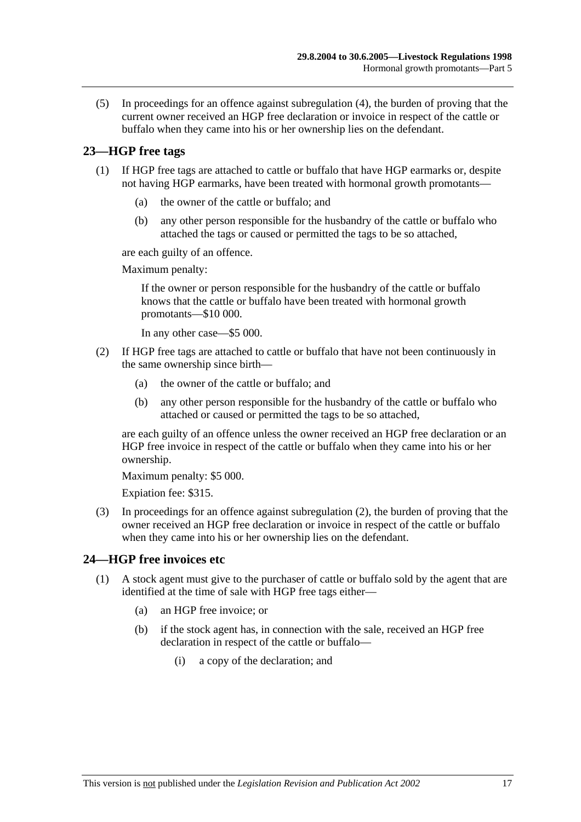(5) In proceedings for an offence against subregulation (4), the burden of proving that the current owner received an HGP free declaration or invoice in respect of the cattle or buffalo when they came into his or her ownership lies on the defendant.

# **23—HGP free tags**

- (1) If HGP free tags are attached to cattle or buffalo that have HGP earmarks or, despite not having HGP earmarks, have been treated with hormonal growth promotants—
	- (a) the owner of the cattle or buffalo; and
	- (b) any other person responsible for the husbandry of the cattle or buffalo who attached the tags or caused or permitted the tags to be so attached,

are each guilty of an offence.

Maximum penalty:

If the owner or person responsible for the husbandry of the cattle or buffalo knows that the cattle or buffalo have been treated with hormonal growth promotants—\$10 000.

In any other case—\$5 000.

- (2) If HGP free tags are attached to cattle or buffalo that have not been continuously in the same ownership since birth—
	- (a) the owner of the cattle or buffalo; and
	- (b) any other person responsible for the husbandry of the cattle or buffalo who attached or caused or permitted the tags to be so attached,

are each guilty of an offence unless the owner received an HGP free declaration or an HGP free invoice in respect of the cattle or buffalo when they came into his or her ownership.

Maximum penalty: \$5 000.

Expiation fee: \$315.

 (3) In proceedings for an offence against subregulation (2), the burden of proving that the owner received an HGP free declaration or invoice in respect of the cattle or buffalo when they came into his or her ownership lies on the defendant.

## **24—HGP free invoices etc**

- (1) A stock agent must give to the purchaser of cattle or buffalo sold by the agent that are identified at the time of sale with HGP free tags either—
	- (a) an HGP free invoice; or
	- (b) if the stock agent has, in connection with the sale, received an HGP free declaration in respect of the cattle or buffalo—
		- (i) a copy of the declaration; and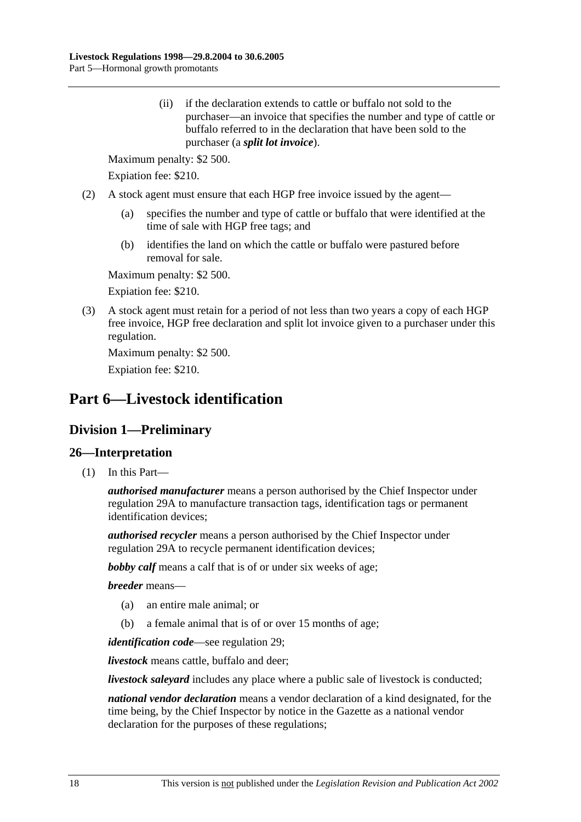(ii) if the declaration extends to cattle or buffalo not sold to the purchaser—an invoice that specifies the number and type of cattle or buffalo referred to in the declaration that have been sold to the purchaser (a *split lot invoice*).

Maximum penalty: \$2 500.

Expiation fee: \$210.

- (2) A stock agent must ensure that each HGP free invoice issued by the agent—
	- (a) specifies the number and type of cattle or buffalo that were identified at the time of sale with HGP free tags; and
	- (b) identifies the land on which the cattle or buffalo were pastured before removal for sale.

Maximum penalty: \$2 500.

Expiation fee: \$210.

 (3) A stock agent must retain for a period of not less than two years a copy of each HGP free invoice, HGP free declaration and split lot invoice given to a purchaser under this regulation.

Maximum penalty: \$2 500.

Expiation fee: \$210.

# **Part 6—Livestock identification**

# **Division 1—Preliminary**

## **26—Interpretation**

(1) In this Part—

*authorised manufacturer* means a person authorised by the Chief Inspector under regulation 29A to manufacture transaction tags, identification tags or permanent identification devices;

*authorised recycler* means a person authorised by the Chief Inspector under regulation 29A to recycle permanent identification devices;

*bobby calf* means a calf that is of or under six weeks of age;

*breeder* means—

- (a) an entire male animal; or
- (b) a female animal that is of or over 15 months of age;

*identification code*—see regulation 29;

*livestock* means cattle, buffalo and deer;

*livestock saleyard* includes any place where a public sale of livestock is conducted;

*national vendor declaration* means a vendor declaration of a kind designated, for the time being, by the Chief Inspector by notice in the Gazette as a national vendor declaration for the purposes of these regulations;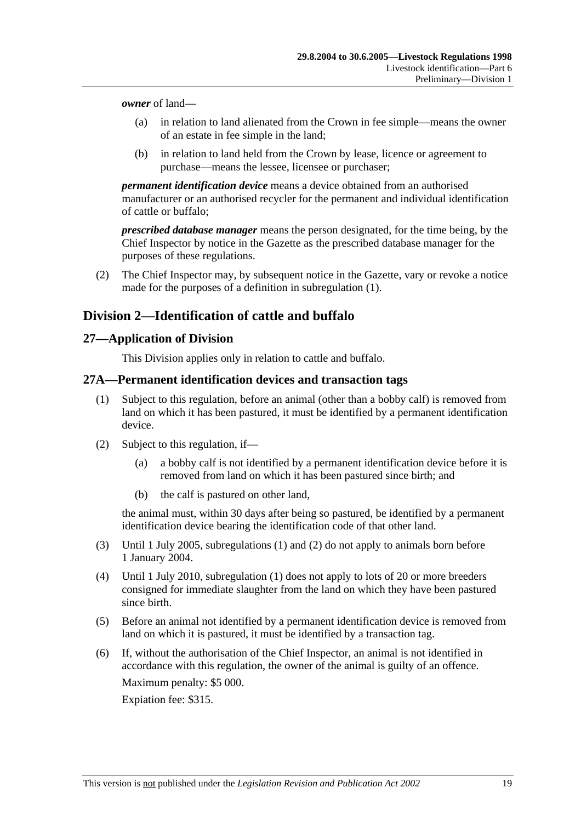*owner* of land—

- (a) in relation to land alienated from the Crown in fee simple—means the owner of an estate in fee simple in the land;
- (b) in relation to land held from the Crown by lease, licence or agreement to purchase—means the lessee, licensee or purchaser;

*permanent identification device* means a device obtained from an authorised manufacturer or an authorised recycler for the permanent and individual identification of cattle or buffalo;

*prescribed database manager* means the person designated, for the time being, by the Chief Inspector by notice in the Gazette as the prescribed database manager for the purposes of these regulations.

 (2) The Chief Inspector may, by subsequent notice in the Gazette, vary or revoke a notice made for the purposes of a definition in subregulation (1).

# **Division 2—Identification of cattle and buffalo**

## **27—Application of Division**

This Division applies only in relation to cattle and buffalo.

## **27A—Permanent identification devices and transaction tags**

- (1) Subject to this regulation, before an animal (other than a bobby calf) is removed from land on which it has been pastured, it must be identified by a permanent identification device.
- (2) Subject to this regulation, if—
	- (a) a bobby calf is not identified by a permanent identification device before it is removed from land on which it has been pastured since birth; and
	- (b) the calf is pastured on other land,

the animal must, within 30 days after being so pastured, be identified by a permanent identification device bearing the identification code of that other land.

- (3) Until 1 July 2005, subregulations (1) and (2) do not apply to animals born before 1 January 2004.
- (4) Until 1 July 2010, subregulation (1) does not apply to lots of 20 or more breeders consigned for immediate slaughter from the land on which they have been pastured since birth.
- (5) Before an animal not identified by a permanent identification device is removed from land on which it is pastured, it must be identified by a transaction tag.
- (6) If, without the authorisation of the Chief Inspector, an animal is not identified in accordance with this regulation, the owner of the animal is guilty of an offence. Maximum penalty: \$5 000.

Expiation fee: \$315.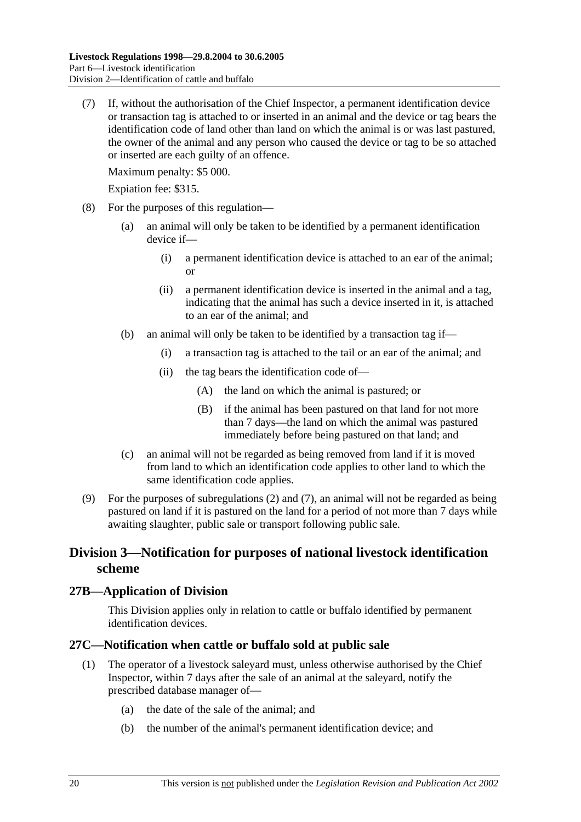(7) If, without the authorisation of the Chief Inspector, a permanent identification device or transaction tag is attached to or inserted in an animal and the device or tag bears the identification code of land other than land on which the animal is or was last pastured, the owner of the animal and any person who caused the device or tag to be so attached or inserted are each guilty of an offence.

Maximum penalty: \$5 000.

Expiation fee: \$315.

- (8) For the purposes of this regulation—
	- (a) an animal will only be taken to be identified by a permanent identification device if—
		- (i) a permanent identification device is attached to an ear of the animal; or
		- (ii) a permanent identification device is inserted in the animal and a tag, indicating that the animal has such a device inserted in it, is attached to an ear of the animal; and
	- (b) an animal will only be taken to be identified by a transaction tag if—
		- (i) a transaction tag is attached to the tail or an ear of the animal; and
		- (ii) the tag bears the identification code of—
			- (A) the land on which the animal is pastured; or
			- (B) if the animal has been pastured on that land for not more than 7 days—the land on which the animal was pastured immediately before being pastured on that land; and
	- (c) an animal will not be regarded as being removed from land if it is moved from land to which an identification code applies to other land to which the same identification code applies.
- (9) For the purposes of subregulations (2) and (7), an animal will not be regarded as being pastured on land if it is pastured on the land for a period of not more than 7 days while awaiting slaughter, public sale or transport following public sale.

# **Division 3—Notification for purposes of national livestock identification scheme**

## **27B—Application of Division**

This Division applies only in relation to cattle or buffalo identified by permanent identification devices.

### **27C—Notification when cattle or buffalo sold at public sale**

- (1) The operator of a livestock saleyard must, unless otherwise authorised by the Chief Inspector, within 7 days after the sale of an animal at the saleyard, notify the prescribed database manager of—
	- (a) the date of the sale of the animal; and
	- (b) the number of the animal's permanent identification device; and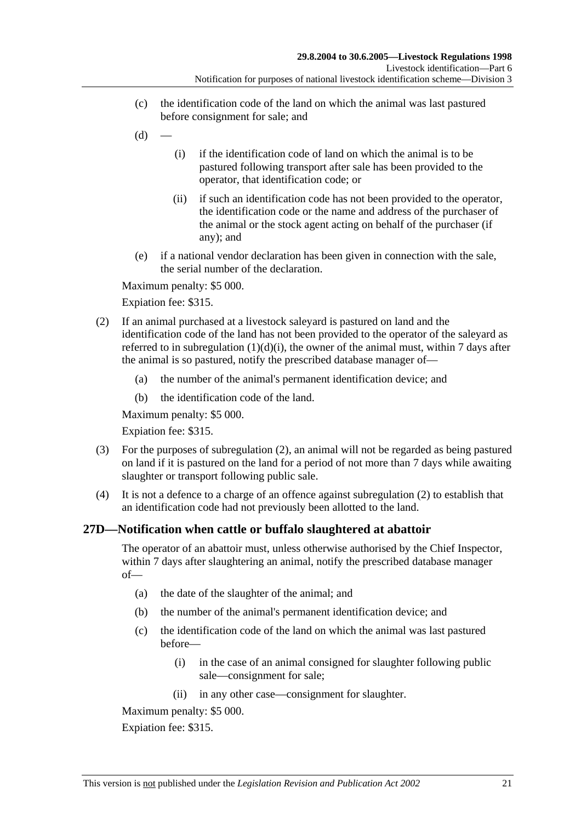- (c) the identification code of the land on which the animal was last pastured before consignment for sale; and
- $(d)$
- (i) if the identification code of land on which the animal is to be pastured following transport after sale has been provided to the operator, that identification code; or
- (ii) if such an identification code has not been provided to the operator, the identification code or the name and address of the purchaser of the animal or the stock agent acting on behalf of the purchaser (if any); and
- (e) if a national vendor declaration has been given in connection with the sale, the serial number of the declaration.

Maximum penalty: \$5 000.

Expiation fee: \$315.

- (2) If an animal purchased at a livestock saleyard is pastured on land and the identification code of the land has not been provided to the operator of the saleyard as referred to in subregulation  $(1)(d)(i)$ , the owner of the animal must, within 7 days after the animal is so pastured, notify the prescribed database manager of—
	- (a) the number of the animal's permanent identification device; and
	- (b) the identification code of the land.

Maximum penalty: \$5 000.

Expiation fee: \$315.

- (3) For the purposes of subregulation (2), an animal will not be regarded as being pastured on land if it is pastured on the land for a period of not more than 7 days while awaiting slaughter or transport following public sale.
- (4) It is not a defence to a charge of an offence against subregulation (2) to establish that an identification code had not previously been allotted to the land.

# **27D—Notification when cattle or buffalo slaughtered at abattoir**

The operator of an abattoir must, unless otherwise authorised by the Chief Inspector, within 7 days after slaughtering an animal, notify the prescribed database manager of—

- (a) the date of the slaughter of the animal; and
- (b) the number of the animal's permanent identification device; and
- (c) the identification code of the land on which the animal was last pastured before—
	- (i) in the case of an animal consigned for slaughter following public sale—consignment for sale;
	- (ii) in any other case—consignment for slaughter.

Maximum penalty: \$5 000.

Expiation fee: \$315.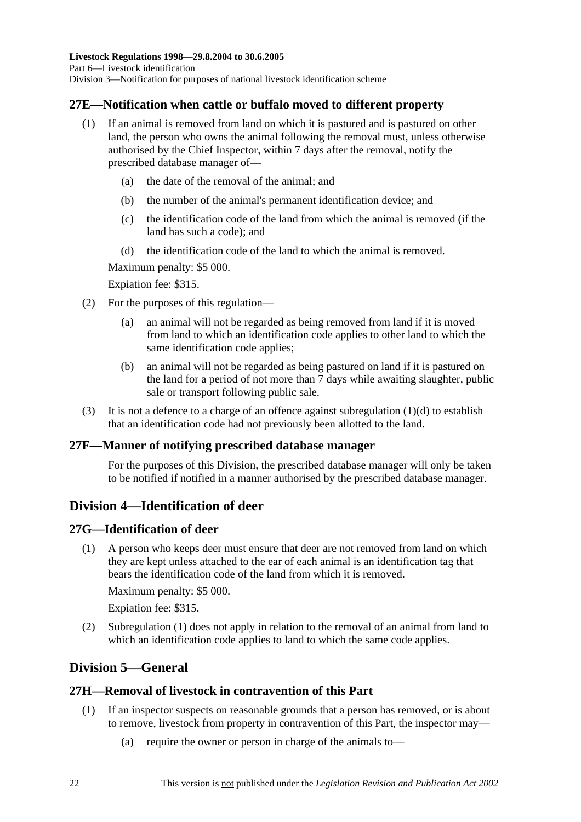# **27E—Notification when cattle or buffalo moved to different property**

- (1) If an animal is removed from land on which it is pastured and is pastured on other land, the person who owns the animal following the removal must, unless otherwise authorised by the Chief Inspector, within 7 days after the removal, notify the prescribed database manager of—
	- (a) the date of the removal of the animal; and
	- (b) the number of the animal's permanent identification device; and
	- (c) the identification code of the land from which the animal is removed (if the land has such a code); and
	- (d) the identification code of the land to which the animal is removed.

Maximum penalty: \$5 000.

Expiation fee: \$315.

- (2) For the purposes of this regulation—
	- (a) an animal will not be regarded as being removed from land if it is moved from land to which an identification code applies to other land to which the same identification code applies;
	- (b) an animal will not be regarded as being pastured on land if it is pastured on the land for a period of not more than 7 days while awaiting slaughter, public sale or transport following public sale.
- (3) It is not a defence to a charge of an offence against subregulation  $(1)(d)$  to establish that an identification code had not previously been allotted to the land.

# **27F—Manner of notifying prescribed database manager**

For the purposes of this Division, the prescribed database manager will only be taken to be notified if notified in a manner authorised by the prescribed database manager.

# **Division 4—Identification of deer**

## **27G—Identification of deer**

 (1) A person who keeps deer must ensure that deer are not removed from land on which they are kept unless attached to the ear of each animal is an identification tag that bears the identification code of the land from which it is removed.

Maximum penalty: \$5 000.

Expiation fee: \$315.

 (2) Subregulation (1) does not apply in relation to the removal of an animal from land to which an identification code applies to land to which the same code applies.

# **Division 5—General**

# **27H—Removal of livestock in contravention of this Part**

- (1) If an inspector suspects on reasonable grounds that a person has removed, or is about to remove, livestock from property in contravention of this Part, the inspector may—
	- (a) require the owner or person in charge of the animals to—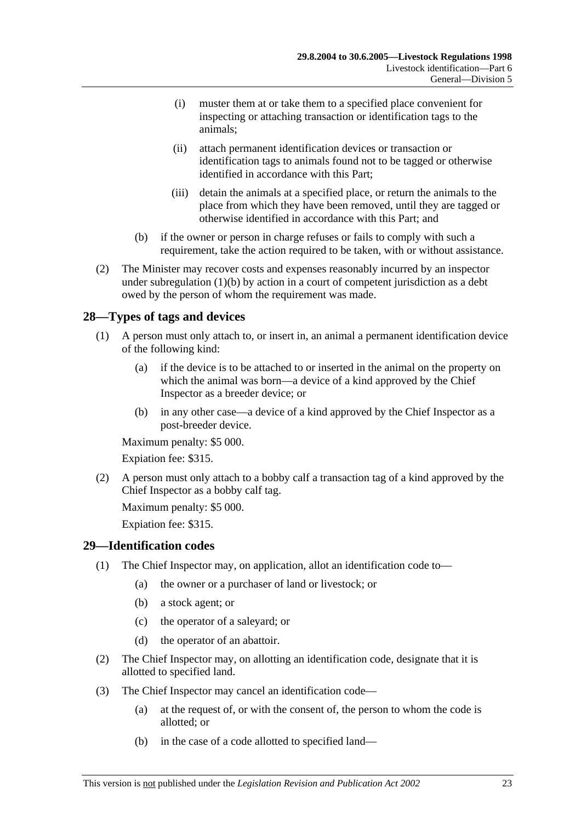- (i) muster them at or take them to a specified place convenient for inspecting or attaching transaction or identification tags to the animals;
- (ii) attach permanent identification devices or transaction or identification tags to animals found not to be tagged or otherwise identified in accordance with this Part;
- (iii) detain the animals at a specified place, or return the animals to the place from which they have been removed, until they are tagged or otherwise identified in accordance with this Part; and
- (b) if the owner or person in charge refuses or fails to comply with such a requirement, take the action required to be taken, with or without assistance.
- (2) The Minister may recover costs and expenses reasonably incurred by an inspector under subregulation  $(1)(b)$  by action in a court of competent jurisdiction as a debt owed by the person of whom the requirement was made.

# **28—Types of tags and devices**

- (1) A person must only attach to, or insert in, an animal a permanent identification device of the following kind:
	- (a) if the device is to be attached to or inserted in the animal on the property on which the animal was born—a device of a kind approved by the Chief Inspector as a breeder device; or
	- (b) in any other case—a device of a kind approved by the Chief Inspector as a post-breeder device.

Maximum penalty: \$5 000.

Expiation fee: \$315.

 (2) A person must only attach to a bobby calf a transaction tag of a kind approved by the Chief Inspector as a bobby calf tag.

Maximum penalty: \$5 000.

Expiation fee: \$315.

## **29—Identification codes**

- (1) The Chief Inspector may, on application, allot an identification code to—
	- (a) the owner or a purchaser of land or livestock; or
	- (b) a stock agent; or
	- (c) the operator of a saleyard; or
	- (d) the operator of an abattoir.
- (2) The Chief Inspector may, on allotting an identification code, designate that it is allotted to specified land.
- (3) The Chief Inspector may cancel an identification code—
	- (a) at the request of, or with the consent of, the person to whom the code is allotted; or
	- (b) in the case of a code allotted to specified land—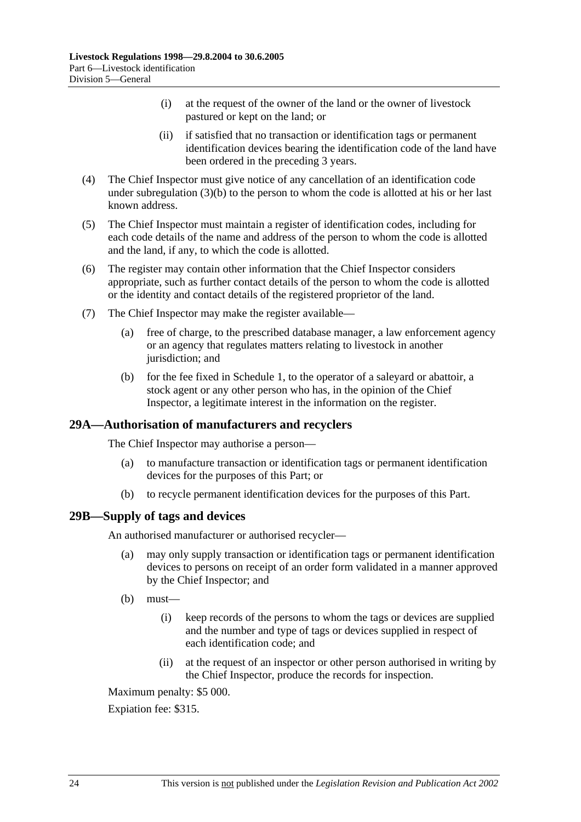- (i) at the request of the owner of the land or the owner of livestock pastured or kept on the land; or
- (ii) if satisfied that no transaction or identification tags or permanent identification devices bearing the identification code of the land have been ordered in the preceding 3 years.
- (4) The Chief Inspector must give notice of any cancellation of an identification code under subregulation (3)(b) to the person to whom the code is allotted at his or her last known address.
- (5) The Chief Inspector must maintain a register of identification codes, including for each code details of the name and address of the person to whom the code is allotted and the land, if any, to which the code is allotted.
- (6) The register may contain other information that the Chief Inspector considers appropriate, such as further contact details of the person to whom the code is allotted or the identity and contact details of the registered proprietor of the land.
- (7) The Chief Inspector may make the register available—
	- (a) free of charge, to the prescribed database manager, a law enforcement agency or an agency that regulates matters relating to livestock in another jurisdiction; and
	- (b) for the fee fixed in Schedule 1, to the operator of a saleyard or abattoir, a stock agent or any other person who has, in the opinion of the Chief Inspector, a legitimate interest in the information on the register.

## **29A—Authorisation of manufacturers and recyclers**

The Chief Inspector may authorise a person—

- (a) to manufacture transaction or identification tags or permanent identification devices for the purposes of this Part; or
- (b) to recycle permanent identification devices for the purposes of this Part.

### **29B—Supply of tags and devices**

An authorised manufacturer or authorised recycler—

- (a) may only supply transaction or identification tags or permanent identification devices to persons on receipt of an order form validated in a manner approved by the Chief Inspector; and
- $(b)$  must—
	- (i) keep records of the persons to whom the tags or devices are supplied and the number and type of tags or devices supplied in respect of each identification code; and
	- (ii) at the request of an inspector or other person authorised in writing by the Chief Inspector, produce the records for inspection.

Maximum penalty: \$5 000.

Expiation fee: \$315.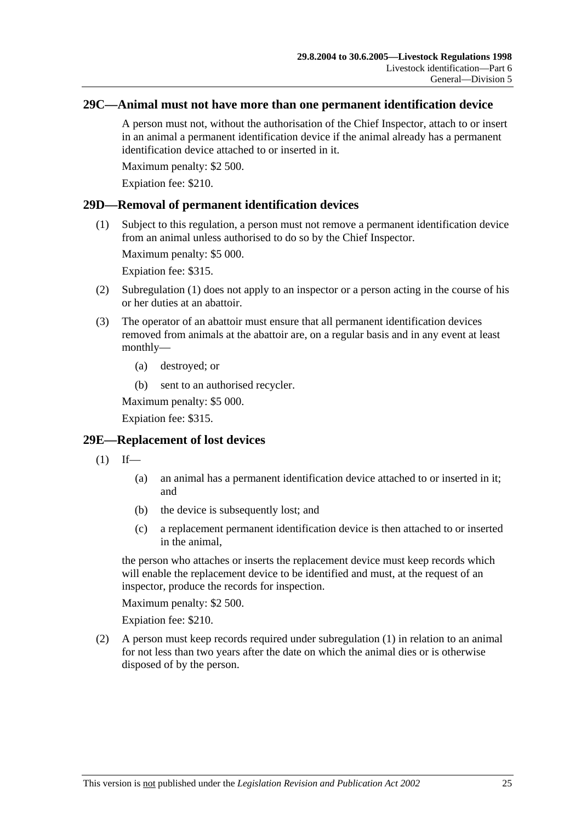## **29C—Animal must not have more than one permanent identification device**

A person must not, without the authorisation of the Chief Inspector, attach to or insert in an animal a permanent identification device if the animal already has a permanent identification device attached to or inserted in it.

Maximum penalty: \$2 500.

Expiation fee: \$210.

## **29D—Removal of permanent identification devices**

 (1) Subject to this regulation, a person must not remove a permanent identification device from an animal unless authorised to do so by the Chief Inspector.

Maximum penalty: \$5 000.

Expiation fee: \$315.

- (2) Subregulation (1) does not apply to an inspector or a person acting in the course of his or her duties at an abattoir.
- (3) The operator of an abattoir must ensure that all permanent identification devices removed from animals at the abattoir are, on a regular basis and in any event at least monthly—
	- (a) destroyed; or
	- (b) sent to an authorised recycler.

Maximum penalty: \$5 000.

Expiation fee: \$315.

## **29E—Replacement of lost devices**

- $(1)$  If—
	- (a) an animal has a permanent identification device attached to or inserted in it; and
	- (b) the device is subsequently lost; and
	- (c) a replacement permanent identification device is then attached to or inserted in the animal,

the person who attaches or inserts the replacement device must keep records which will enable the replacement device to be identified and must, at the request of an inspector, produce the records for inspection.

Maximum penalty: \$2 500.

Expiation fee: \$210.

 (2) A person must keep records required under subregulation (1) in relation to an animal for not less than two years after the date on which the animal dies or is otherwise disposed of by the person.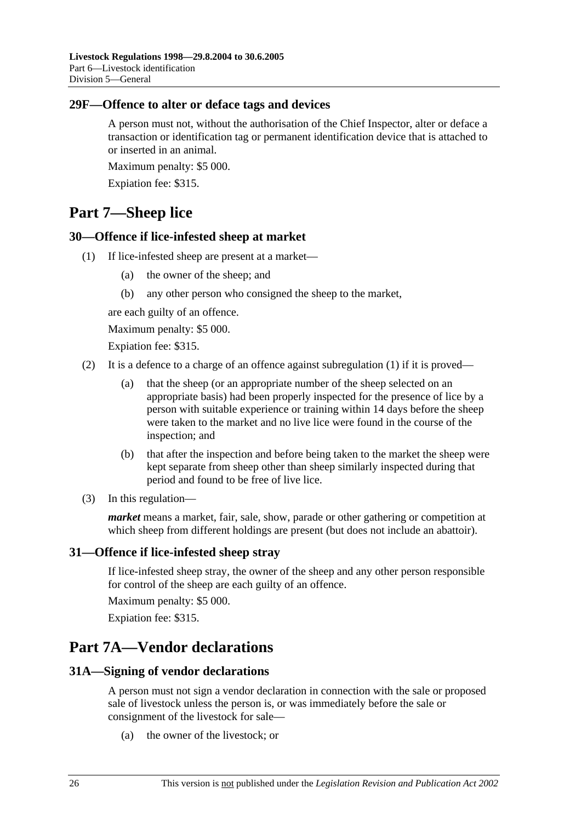## **29F—Offence to alter or deface tags and devices**

A person must not, without the authorisation of the Chief Inspector, alter or deface a transaction or identification tag or permanent identification device that is attached to or inserted in an animal.

Maximum penalty: \$5 000.

Expiation fee: \$315.

# **Part 7—Sheep lice**

## **30—Offence if lice-infested sheep at market**

- (1) If lice-infested sheep are present at a market—
	- (a) the owner of the sheep; and
	- (b) any other person who consigned the sheep to the market,

are each guilty of an offence.

Maximum penalty: \$5 000.

Expiation fee: \$315.

- (2) It is a defence to a charge of an offence against subregulation (1) if it is proved—
	- (a) that the sheep (or an appropriate number of the sheep selected on an appropriate basis) had been properly inspected for the presence of lice by a person with suitable experience or training within 14 days before the sheep were taken to the market and no live lice were found in the course of the inspection; and
	- (b) that after the inspection and before being taken to the market the sheep were kept separate from sheep other than sheep similarly inspected during that period and found to be free of live lice.
- (3) In this regulation—

*market* means a market, fair, sale, show, parade or other gathering or competition at which sheep from different holdings are present (but does not include an abattoir).

## **31—Offence if lice-infested sheep stray**

If lice-infested sheep stray, the owner of the sheep and any other person responsible for control of the sheep are each guilty of an offence.

Maximum penalty: \$5 000.

Expiation fee: \$315.

# **Part 7A—Vendor declarations**

### **31A—Signing of vendor declarations**

A person must not sign a vendor declaration in connection with the sale or proposed sale of livestock unless the person is, or was immediately before the sale or consignment of the livestock for sale—

(a) the owner of the livestock; or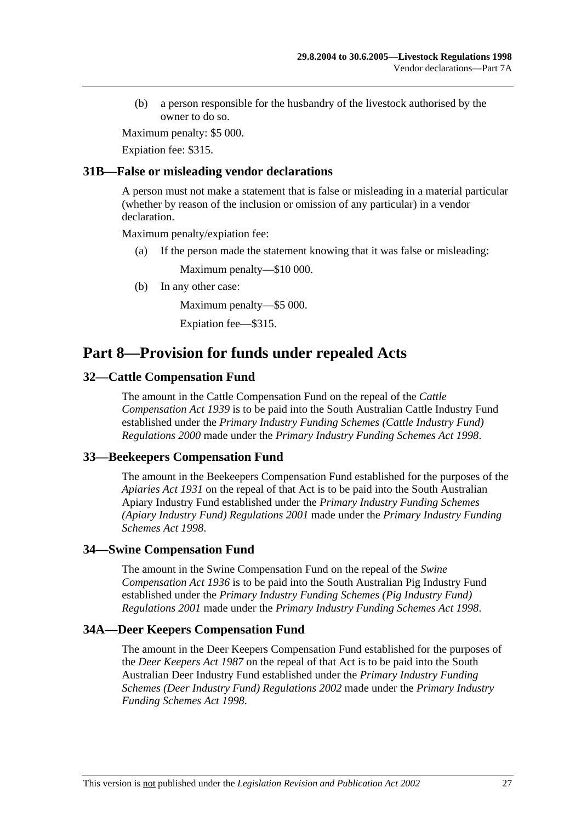(b) a person responsible for the husbandry of the livestock authorised by the owner to do so.

Maximum penalty: \$5 000.

Expiation fee: \$315.

## **31B—False or misleading vendor declarations**

A person must not make a statement that is false or misleading in a material particular (whether by reason of the inclusion or omission of any particular) in a vendor declaration.

Maximum penalty/expiation fee:

(a) If the person made the statement knowing that it was false or misleading:

Maximum penalty—\$10 000.

(b) In any other case:

Maximum penalty—\$5 000.

Expiation fee—\$315.

# **Part 8—Provision for funds under repealed Acts**

## **32—Cattle Compensation Fund**

The amount in the Cattle Compensation Fund on the repeal of the *Cattle Compensation Act 1939* is to be paid into the South Australian Cattle Industry Fund established under the *Primary Industry Funding Schemes (Cattle Industry Fund) Regulations 2000* made under the *Primary Industry Funding Schemes Act 1998*.

## **33—Beekeepers Compensation Fund**

The amount in the Beekeepers Compensation Fund established for the purposes of the *Apiaries Act 1931* on the repeal of that Act is to be paid into the South Australian Apiary Industry Fund established under the *Primary Industry Funding Schemes (Apiary Industry Fund) Regulations 2001* made under the *Primary Industry Funding Schemes Act 1998*.

## **34—Swine Compensation Fund**

The amount in the Swine Compensation Fund on the repeal of the *Swine Compensation Act 1936* is to be paid into the South Australian Pig Industry Fund established under the *Primary Industry Funding Schemes (Pig Industry Fund) Regulations 2001* made under the *Primary Industry Funding Schemes Act 1998*.

### **34A—Deer Keepers Compensation Fund**

The amount in the Deer Keepers Compensation Fund established for the purposes of the *Deer Keepers Act 1987* on the repeal of that Act is to be paid into the South Australian Deer Industry Fund established under the *Primary Industry Funding Schemes (Deer Industry Fund) Regulations 2002* made under the *Primary Industry Funding Schemes Act 1998*.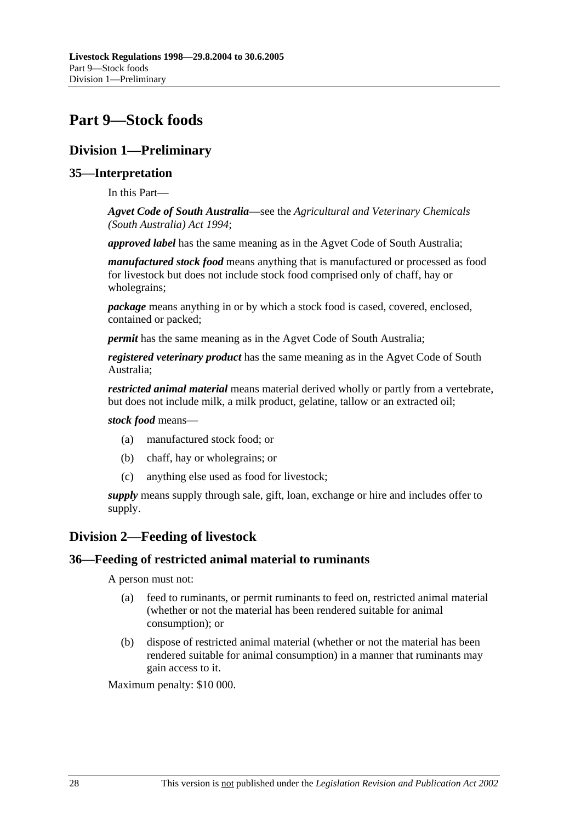# **Part 9—Stock foods**

# **Division 1—Preliminary**

# **35—Interpretation**

In this Part—

*Agvet Code of South Australia*—see the *Agricultural and Veterinary Chemicals (South Australia) Act 1994*;

*approved label* has the same meaning as in the Agvet Code of South Australia;

*manufactured stock food* means anything that is manufactured or processed as food for livestock but does not include stock food comprised only of chaff, hay or wholegrains;

*package* means anything in or by which a stock food is cased, covered, enclosed, contained or packed;

*permit* has the same meaning as in the Agvet Code of South Australia;

*registered veterinary product* has the same meaning as in the Agvet Code of South Australia;

*restricted animal material* means material derived wholly or partly from a vertebrate, but does not include milk, a milk product, gelatine, tallow or an extracted oil;

### *stock food* means—

- (a) manufactured stock food; or
- (b) chaff, hay or wholegrains; or
- (c) anything else used as food for livestock;

*supply* means supply through sale, gift, loan, exchange or hire and includes offer to supply.

# **Division 2—Feeding of livestock**

## **36—Feeding of restricted animal material to ruminants**

A person must not:

- (a) feed to ruminants, or permit ruminants to feed on, restricted animal material (whether or not the material has been rendered suitable for animal consumption); or
- (b) dispose of restricted animal material (whether or not the material has been rendered suitable for animal consumption) in a manner that ruminants may gain access to it.

Maximum penalty: \$10 000.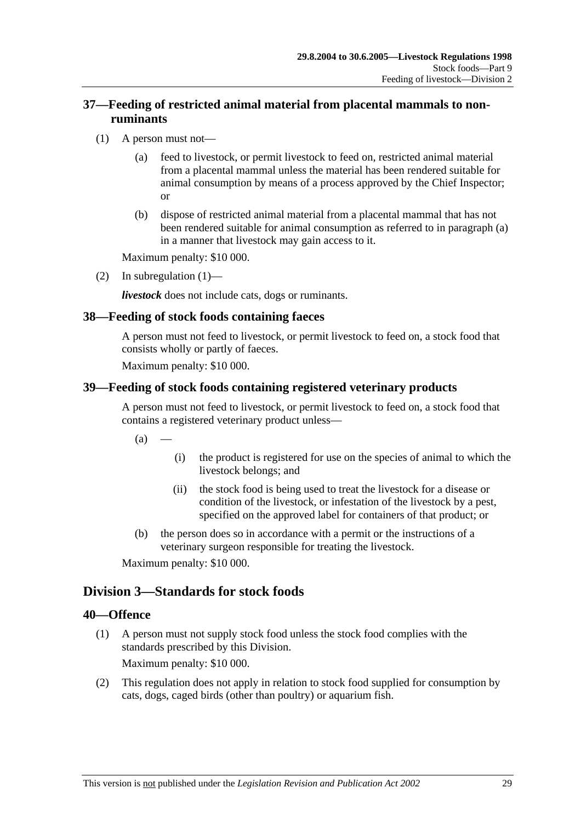# **37—Feeding of restricted animal material from placental mammals to nonruminants**

- (1) A person must not—
	- (a) feed to livestock, or permit livestock to feed on, restricted animal material from a placental mammal unless the material has been rendered suitable for animal consumption by means of a process approved by the Chief Inspector; or
	- (b) dispose of restricted animal material from a placental mammal that has not been rendered suitable for animal consumption as referred to in paragraph (a) in a manner that livestock may gain access to it.

Maximum penalty: \$10 000.

(2) In subregulation  $(1)$ —

*livestock* does not include cats, dogs or ruminants.

# **38—Feeding of stock foods containing faeces**

A person must not feed to livestock, or permit livestock to feed on, a stock food that consists wholly or partly of faeces.

Maximum penalty: \$10 000.

## **39—Feeding of stock foods containing registered veterinary products**

A person must not feed to livestock, or permit livestock to feed on, a stock food that contains a registered veterinary product unless—

 $(a)$ 

- (i) the product is registered for use on the species of animal to which the livestock belongs; and
- (ii) the stock food is being used to treat the livestock for a disease or condition of the livestock, or infestation of the livestock by a pest, specified on the approved label for containers of that product; or
- (b) the person does so in accordance with a permit or the instructions of a veterinary surgeon responsible for treating the livestock.

Maximum penalty: \$10 000.

# **Division 3—Standards for stock foods**

## **40—Offence**

 (1) A person must not supply stock food unless the stock food complies with the standards prescribed by this Division.

Maximum penalty: \$10 000.

 (2) This regulation does not apply in relation to stock food supplied for consumption by cats, dogs, caged birds (other than poultry) or aquarium fish.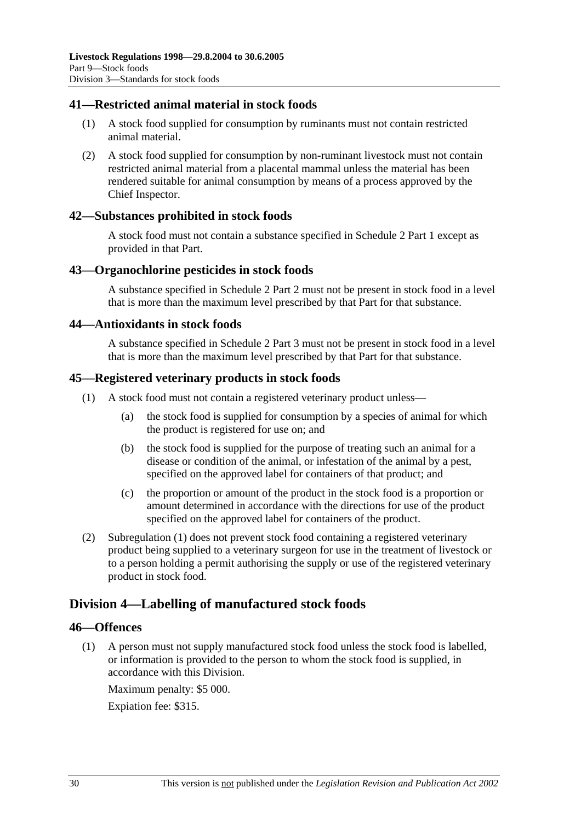## **41—Restricted animal material in stock foods**

- (1) A stock food supplied for consumption by ruminants must not contain restricted animal material.
- (2) A stock food supplied for consumption by non-ruminant livestock must not contain restricted animal material from a placental mammal unless the material has been rendered suitable for animal consumption by means of a process approved by the Chief Inspector.

## **42—Substances prohibited in stock foods**

A stock food must not contain a substance specified in Schedule 2 Part 1 except as provided in that Part.

### **43—Organochlorine pesticides in stock foods**

A substance specified in Schedule 2 Part 2 must not be present in stock food in a level that is more than the maximum level prescribed by that Part for that substance.

### **44—Antioxidants in stock foods**

A substance specified in Schedule 2 Part 3 must not be present in stock food in a level that is more than the maximum level prescribed by that Part for that substance.

### **45—Registered veterinary products in stock foods**

- (1) A stock food must not contain a registered veterinary product unless—
	- (a) the stock food is supplied for consumption by a species of animal for which the product is registered for use on; and
	- (b) the stock food is supplied for the purpose of treating such an animal for a disease or condition of the animal, or infestation of the animal by a pest, specified on the approved label for containers of that product; and
	- (c) the proportion or amount of the product in the stock food is a proportion or amount determined in accordance with the directions for use of the product specified on the approved label for containers of the product.
- (2) Subregulation (1) does not prevent stock food containing a registered veterinary product being supplied to a veterinary surgeon for use in the treatment of livestock or to a person holding a permit authorising the supply or use of the registered veterinary product in stock food.

## **Division 4—Labelling of manufactured stock foods**

### **46—Offences**

 (1) A person must not supply manufactured stock food unless the stock food is labelled, or information is provided to the person to whom the stock food is supplied, in accordance with this Division.

Maximum penalty: \$5 000.

Expiation fee: \$315.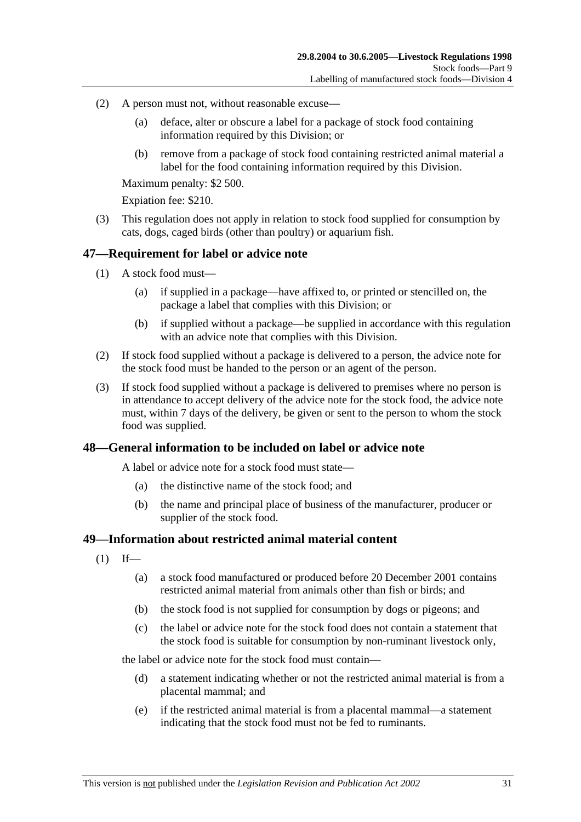- (2) A person must not, without reasonable excuse—
	- (a) deface, alter or obscure a label for a package of stock food containing information required by this Division; or
	- (b) remove from a package of stock food containing restricted animal material a label for the food containing information required by this Division.

Maximum penalty: \$2 500.

Expiation fee: \$210.

 (3) This regulation does not apply in relation to stock food supplied for consumption by cats, dogs, caged birds (other than poultry) or aquarium fish.

## **47—Requirement for label or advice note**

- (1) A stock food must—
	- (a) if supplied in a package—have affixed to, or printed or stencilled on, the package a label that complies with this Division; or
	- (b) if supplied without a package—be supplied in accordance with this regulation with an advice note that complies with this Division.
- (2) If stock food supplied without a package is delivered to a person, the advice note for the stock food must be handed to the person or an agent of the person.
- (3) If stock food supplied without a package is delivered to premises where no person is in attendance to accept delivery of the advice note for the stock food, the advice note must, within 7 days of the delivery, be given or sent to the person to whom the stock food was supplied.

### **48—General information to be included on label or advice note**

A label or advice note for a stock food must state—

- (a) the distinctive name of the stock food; and
- (b) the name and principal place of business of the manufacturer, producer or supplier of the stock food.

### **49—Information about restricted animal material content**

- $(1)$  If—
	- (a) a stock food manufactured or produced before 20 December 2001 contains restricted animal material from animals other than fish or birds; and
	- (b) the stock food is not supplied for consumption by dogs or pigeons; and
	- (c) the label or advice note for the stock food does not contain a statement that the stock food is suitable for consumption by non-ruminant livestock only,

the label or advice note for the stock food must contain—

- (d) a statement indicating whether or not the restricted animal material is from a placental mammal; and
- (e) if the restricted animal material is from a placental mammal—a statement indicating that the stock food must not be fed to ruminants.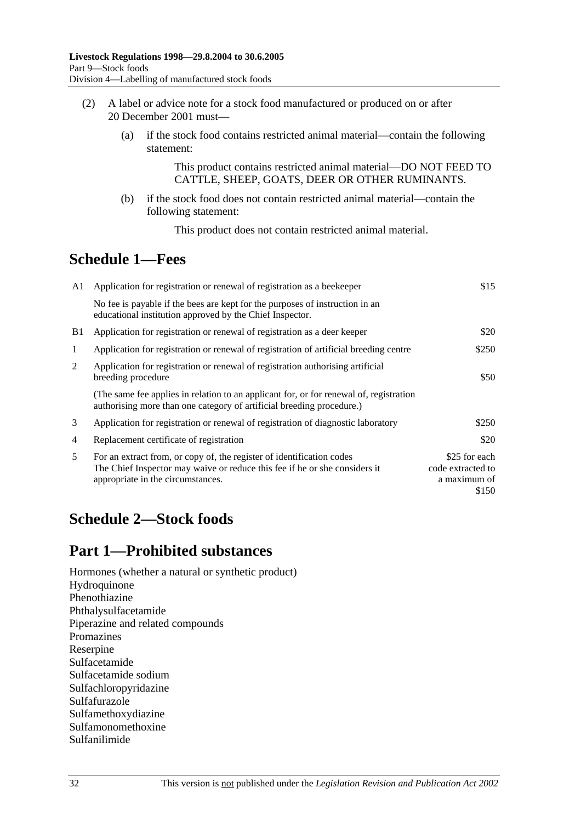- (2) A label or advice note for a stock food manufactured or produced on or after 20 December 2001 must—
	- (a) if the stock food contains restricted animal material—contain the following statement:

This product contains restricted animal material—DO NOT FEED TO CATTLE, SHEEP, GOATS, DEER OR OTHER RUMINANTS.

 (b) if the stock food does not contain restricted animal material—contain the following statement:

This product does not contain restricted animal material.

# **Schedule 1—Fees**

| A1 | Application for registration or renewal of registration as a beekeeper                                                                                                                   | \$15                                                        |
|----|------------------------------------------------------------------------------------------------------------------------------------------------------------------------------------------|-------------------------------------------------------------|
|    | No fee is payable if the bees are kept for the purposes of instruction in an<br>educational institution approved by the Chief Inspector.                                                 |                                                             |
| B1 | Application for registration or renewal of registration as a deer keeper                                                                                                                 | \$20                                                        |
| 1  | Application for registration or renewal of registration of artificial breeding centre                                                                                                    | \$250                                                       |
| 2  | Application for registration or renewal of registration authorising artificial<br>breeding procedure                                                                                     | \$50                                                        |
|    | (The same fee applies in relation to an applicant for, or for renewal of, registration<br>authorising more than one category of artificial breeding procedure.)                          |                                                             |
| 3  | Application for registration or renewal of registration of diagnostic laboratory                                                                                                         | \$250                                                       |
| 4  | Replacement certificate of registration                                                                                                                                                  | \$20                                                        |
| 5  | For an extract from, or copy of, the register of identification codes<br>The Chief Inspector may waive or reduce this fee if he or she considers it<br>appropriate in the circumstances. | \$25 for each<br>code extracted to<br>a maximum of<br>\$150 |

# **Schedule 2—Stock foods**

# **Part 1—Prohibited substances**

Hormones (whether a natural or synthetic product) Hydroquinone Phenothiazine Phthalysulfacetamide Piperazine and related compounds Promazines Reserpine Sulfacetamide Sulfacetamide sodium Sulfachloropyridazine Sulfafurazole Sulfamethoxydiazine Sulfamonomethoxine Sulfanilimide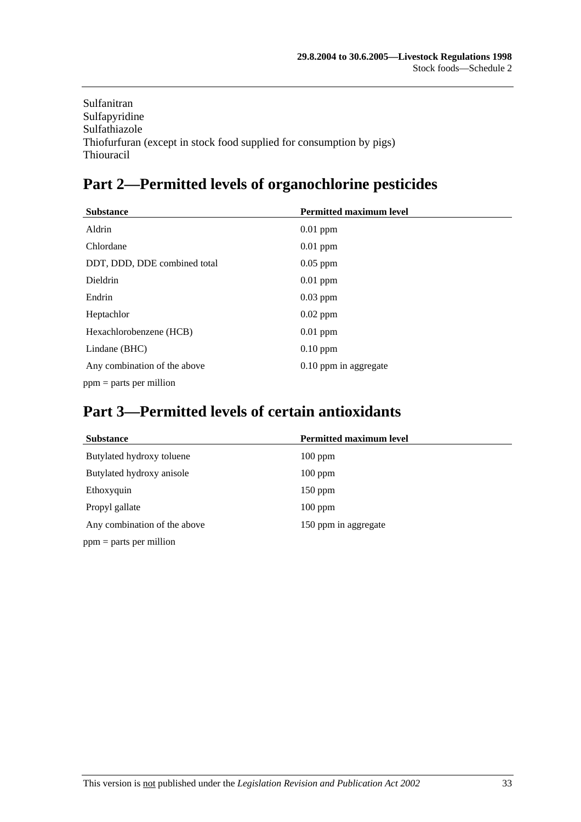Sulfanitran Sulfapyridine Sulfathiazole Thiofurfuran (except in stock food supplied for consumption by pigs) Thiouracil

# **Part 2—Permitted levels of organochlorine pesticides**

| <b>Substance</b>             | <b>Permitted maximum level</b> |  |
|------------------------------|--------------------------------|--|
| Aldrin                       | $0.01$ ppm                     |  |
| Chlordane                    | $0.01$ ppm                     |  |
| DDT, DDD, DDE combined total | $0.05$ ppm                     |  |
| Dieldrin                     | $0.01$ ppm                     |  |
| Endrin                       | $0.03$ ppm                     |  |
| Heptachlor                   | $0.02$ ppm                     |  |
| Hexachlorobenzene (HCB)      | $0.01$ ppm                     |  |
| Lindane (BHC)                | $0.10$ ppm                     |  |
| Any combination of the above | 0.10 ppm in aggregate          |  |
| $ppm =$ parts per million    |                                |  |

# **Part 3—Permitted levels of certain antioxidants**

| <b>Substance</b>             | <b>Permitted maximum level</b> |  |
|------------------------------|--------------------------------|--|
| Butylated hydroxy toluene    | $100$ ppm                      |  |
| Butylated hydroxy anisole    | $100$ ppm                      |  |
| Ethoxyquin                   | $150$ ppm                      |  |
| Propyl gallate               | $100$ ppm                      |  |
| Any combination of the above | 150 ppm in aggregate           |  |
| $ppm =$ parts per million    |                                |  |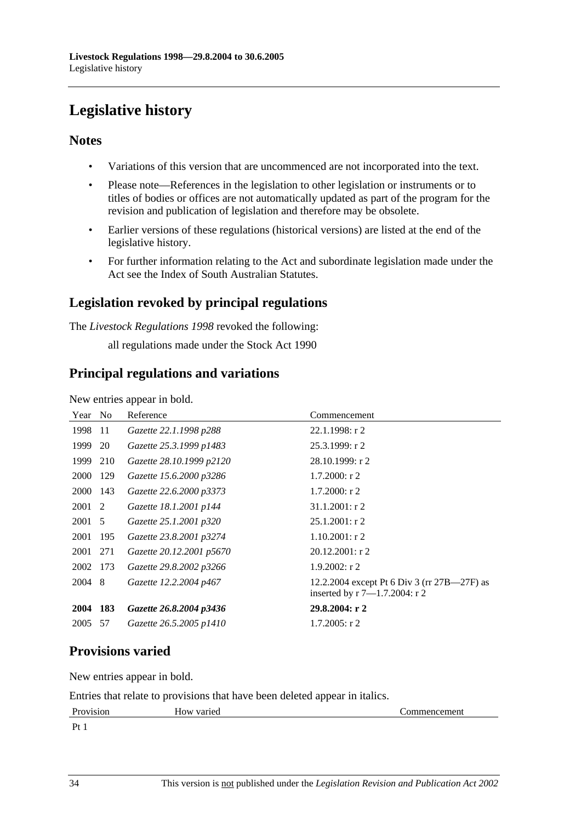# **Legislative history**

# **Notes**

- Variations of this version that are uncommenced are not incorporated into the text.
- Please note—References in the legislation to other legislation or instruments or to titles of bodies or offices are not automatically updated as part of the program for the revision and publication of legislation and therefore may be obsolete.
- Earlier versions of these regulations (historical versions) are listed at the end of the legislative history.
- For further information relating to the Act and subordinate legislation made under the Act see the Index of South Australian Statutes.

# **Legislation revoked by principal regulations**

The *Livestock Regulations 1998* revoked the following:

all regulations made under the Stock Act 1990

# **Principal regulations and variations**

New entries appear in bold.

| Year        | N <sub>o</sub> | Reference                | Commencement                                                                      |
|-------------|----------------|--------------------------|-----------------------------------------------------------------------------------|
| 1998        | -11            | Gazette 22.1.1998 p288   | $22.1.1998:$ r 2                                                                  |
| 1999        | 20             | Gazette 25.3.1999 p1483  | 25.3.1999: r 2                                                                    |
| 1999        | 210            | Gazette 28.10.1999 p2120 | 28.10.1999: r2                                                                    |
| <b>2000</b> | 129            | Gazette 15.6.2000 p3286  | $1.7.2000:$ r 2                                                                   |
| 2000 143    |                | Gazette 22.6.2000 p3373  | $1.7.2000:$ r 2                                                                   |
| 2001 2      |                | Gazette 18.1.2001 p144   | 31.1.2001: r2                                                                     |
| 2001 5      |                | Gazette 25.1.2001 p320   | $25.1.2001$ : r 2                                                                 |
| 2001        | 195            | Gazette 23.8.2001 p3274  | $1.10.2001$ : r 2                                                                 |
| 2001 271    |                | Gazette 20.12.2001 p5670 | $20.12.2001:$ r 2                                                                 |
| 2002 173    |                | Gazette 29.8.2002 p3266  | $1.9.2002$ : r 2                                                                  |
| 2004 8      |                | Gazette 12.2.2004 p467   | 12.2.2004 except Pt 6 Div 3 (rr 27B—27F) as<br>inserted by $r 7 - 1.7.2004$ : r 2 |
| 2004        | 183            | Gazette 26.8.2004 p3436  | 29.8.2004: r 2                                                                    |
| 2005        | 57             | Gazette 26.5.2005 p1410  | $1.7.2005$ : r 2                                                                  |

# **Provisions varied**

New entries appear in bold.

Entries that relate to provisions that have been deleted appear in italics.

| Provision                 | How varied | Commencement |
|---------------------------|------------|--------------|
| $\mathbf{p}_{\mathbf{f}}$ |            |              |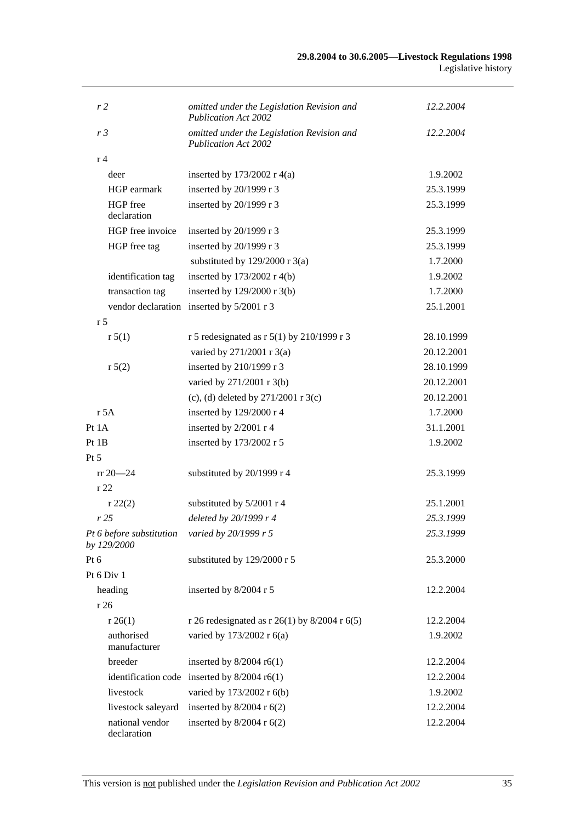| r <sub>2</sub> |                                         | omitted under the Legislation Revision and<br><b>Publication Act 2002</b> | 12.2.2004  |
|----------------|-----------------------------------------|---------------------------------------------------------------------------|------------|
| r <sub>3</sub> |                                         | omitted under the Legislation Revision and<br><b>Publication Act 2002</b> | 12.2.2004  |
| r <sub>4</sub> |                                         |                                                                           |            |
|                | deer                                    | inserted by $173/2002$ r 4(a)                                             | 1.9.2002   |
|                | HGP earmark                             | inserted by 20/1999 r 3                                                   | 25.3.1999  |
|                | HGP free<br>declaration                 | inserted by 20/1999 r 3                                                   | 25.3.1999  |
|                | HGP free invoice                        | inserted by 20/1999 r 3                                                   | 25.3.1999  |
|                | HGP free tag                            | inserted by 20/1999 r 3                                                   | 25.3.1999  |
|                |                                         | substituted by $129/2000$ r 3(a)                                          | 1.7.2000   |
|                | identification tag                      | inserted by $173/2002$ r 4(b)                                             | 1.9.2002   |
|                | transaction tag                         | inserted by $129/2000$ r 3(b)                                             | 1.7.2000   |
|                |                                         | vendor declaration inserted by 5/2001 r 3                                 | 25.1.2001  |
| r <sub>5</sub> |                                         |                                                                           |            |
|                | r 5(1)                                  | r 5 redesignated as r $5(1)$ by 210/1999 r 3                              | 28.10.1999 |
|                |                                         | varied by 271/2001 r 3(a)                                                 | 20.12.2001 |
|                | r 5(2)                                  | inserted by 210/1999 r 3                                                  | 28.10.1999 |
|                |                                         | varied by 271/2001 r 3(b)                                                 | 20.12.2001 |
|                |                                         | (c), (d) deleted by $271/2001$ r 3(c)                                     | 20.12.2001 |
|                | r 5A                                    | inserted by 129/2000 r 4                                                  | 1.7.2000   |
| Pt 1A          |                                         | inserted by 2/2001 r 4                                                    | 31.1.2001  |
| Pt1B           |                                         | inserted by 173/2002 r 5                                                  | 1.9.2002   |
| $Pt\,5$        |                                         |                                                                           |            |
|                | $rr 20 - 24$                            | substituted by 20/1999 r 4                                                | 25.3.1999  |
| r22            |                                         |                                                                           |            |
|                | r 22(2)                                 | substituted by 5/2001 r 4                                                 | 25.1.2001  |
|                | r25                                     | deleted by 20/1999 r 4                                                    | 25.3.1999  |
|                | Pt 6 before substitution<br>by 129/2000 | varied by 20/1999 r 5                                                     | 25.3.1999  |
| Pt 6           |                                         | substituted by 129/2000 r 5                                               | 25.3.2000  |
|                | Pt 6 Div 1                              |                                                                           |            |
|                | heading                                 | inserted by 8/2004 r 5                                                    | 12.2.2004  |
|                | r26                                     |                                                                           |            |
|                | r 26(1)                                 | r 26 redesignated as r 26(1) by $8/2004$ r 6(5)                           | 12.2.2004  |
|                | authorised<br>manufacturer              | varied by 173/2002 r 6(a)                                                 | 1.9.2002   |
|                | breeder                                 | inserted by $8/2004$ r6(1)                                                | 12.2.2004  |
|                |                                         | identification code inserted by $8/2004$ r6(1)                            | 12.2.2004  |
|                | livestock                               | varied by 173/2002 r 6(b)                                                 | 1.9.2002   |
|                | livestock saleyard                      | inserted by $8/2004$ r $6(2)$                                             | 12.2.2004  |
|                | national vendor<br>declaration          | inserted by $8/2004$ r $6(2)$                                             | 12.2.2004  |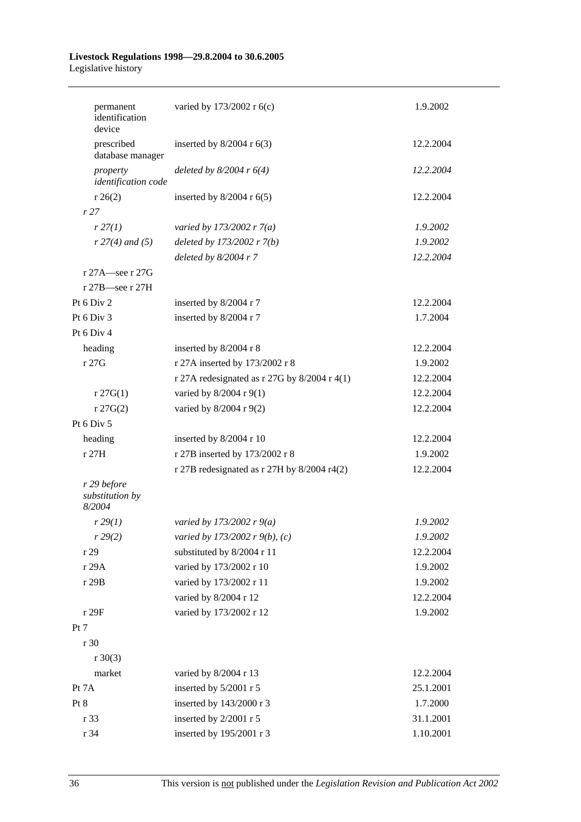#### **Livestock Regulations 1998—29.8.2004 to 30.6.2005**  Legislative history

| permanent<br>identification<br>device | varied by 173/2002 r 6(c)                      | 1.9.2002  |
|---------------------------------------|------------------------------------------------|-----------|
| prescribed<br>database manager        | inserted by $8/2004$ r $6(3)$                  | 12.2.2004 |
| property<br>identification code       | deleted by $8/2004$ r $6(4)$                   | 12.2.2004 |
| $r \, 26(2)$                          | inserted by $8/2004$ r $6(5)$                  | 12.2.2004 |
| r27                                   |                                                |           |
| r 27(1)                               | varied by 173/2002 r $7(a)$                    | 1.9.2002  |
| $r 27(4)$ and (5)                     | deleted by $173/2002$ r $7(b)$                 | 1.9.2002  |
|                                       | deleted by $8/2004$ r 7                        | 12.2.2004 |
| r 27A—see r 27G                       |                                                |           |
| $r 27B$ see r 27H                     |                                                |           |
| Pt 6 Div 2                            | inserted by 8/2004 r 7                         | 12.2.2004 |
| Pt 6 Div 3                            | inserted by 8/2004 r 7                         | 1.7.2004  |
| Pt 6 Div 4                            |                                                |           |
| heading                               | inserted by 8/2004 r 8                         | 12.2.2004 |
| r 27G                                 | r 27A inserted by 173/2002 r 8                 | 1.9.2002  |
|                                       | r 27A redesignated as r 27G by $8/2004$ r 4(1) | 12.2.2004 |
| $r \, 27G(1)$                         | varied by 8/2004 r 9(1)                        | 12.2.2004 |
| $r \, 27G(2)$                         | varied by 8/2004 r 9(2)                        | 12.2.2004 |
| Pt 6 Div 5                            |                                                |           |
| heading                               | inserted by 8/2004 r 10                        | 12.2.2004 |
| r 27H                                 | r 27B inserted by 173/2002 r 8                 | 1.9.2002  |
|                                       | r 27B redesignated as $r$ 27H by 8/2004 r4(2)  | 12.2.2004 |
| r 29 before                           |                                                |           |
| substitution by<br>8/2004             |                                                |           |
| r 29(1)                               | varied by 173/2002 r $9(a)$                    | 1.9.2002  |
| r 29(2)                               | varied by 173/2002 r 9(b), (c)                 | 1.9.2002  |
| r 29                                  | substituted by 8/2004 r 11                     | 12.2.2004 |
| r 29A                                 | varied by 173/2002 r 10                        | 1.9.2002  |
| r 29B                                 | varied by 173/2002 r 11                        | 1.9.2002  |
|                                       | varied by 8/2004 r 12                          | 12.2.2004 |
| r 29F                                 | varied by 173/2002 r 12                        | 1.9.2002  |
| Pt 7                                  |                                                |           |
| r 30                                  |                                                |           |
| $r \ 30(3)$                           |                                                |           |
| market                                | varied by 8/2004 r 13                          | 12.2.2004 |
| Pt 7A                                 | inserted by 5/2001 r 5                         | 25.1.2001 |
| Pt 8                                  | inserted by 143/2000 r 3                       | 1.7.2000  |
| r 33                                  | inserted by 2/2001 r 5                         | 31.1.2001 |
| r 34                                  | inserted by 195/2001 r 3                       | 1.10.2001 |
|                                       |                                                |           |